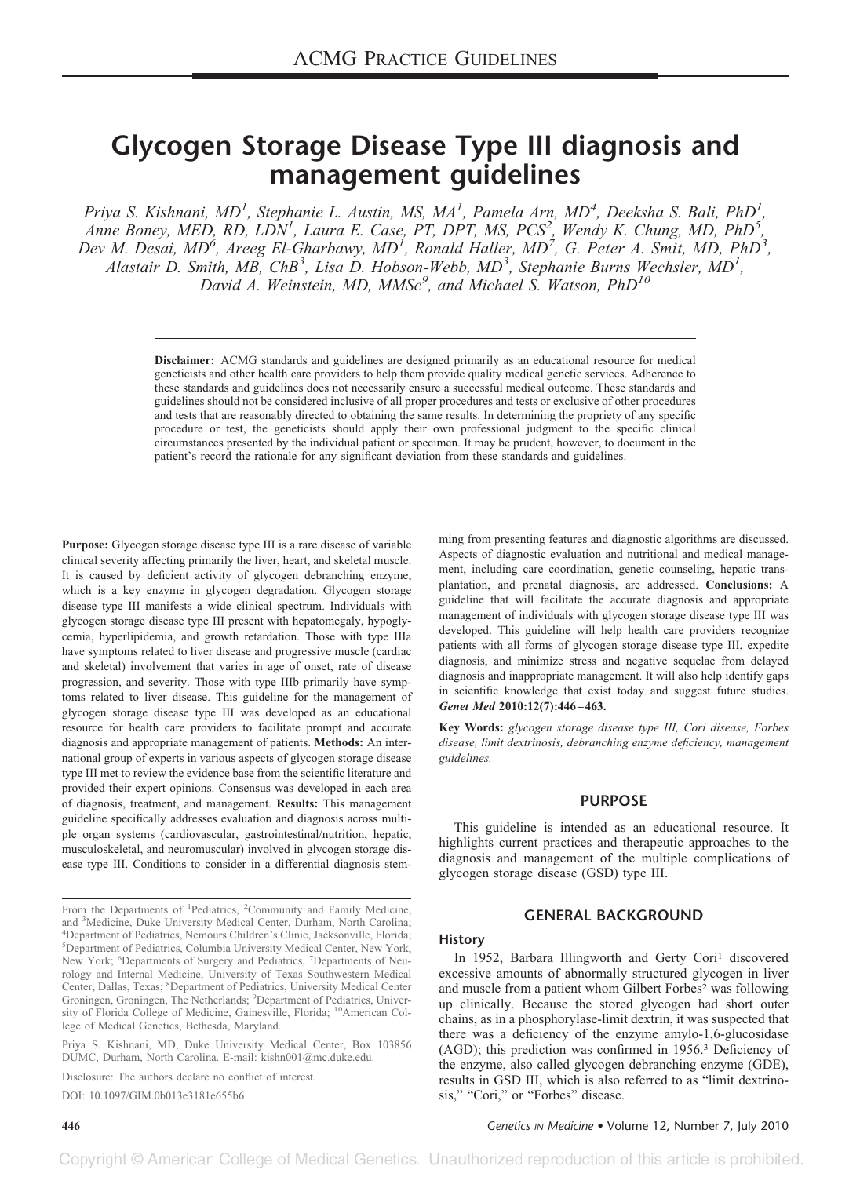# **Glycogen Storage Disease Type III diagnosis and management guidelines**

*Priya S. Kishnani, MD1 , Stephanie L. Austin, MS, MA1 , Pamela Arn, MD4 , Deeksha S. Bali, PhD1 ,* Anne Boney, MED, RD, LDN<sup>1</sup>, Laura E. Case, PT, DPT, MS, PCS<sup>2</sup>, Wendy K. Chung, MD, PhD<sup>5</sup>, Dev M. Desai, MD<sup>6</sup>, Areeg El-Gharbawy, MD<sup>1</sup>, Ronald Haller, MD<sup>7</sup>, G. Peter A. Smit, MD, PhD<sup>3</sup>, *Alastair D. Smith, MB, ChB3 , Lisa D. Hobson-Webb, MD3 , Stephanie Burns Wechsler, MD1 ,* David A. Weinstein, MD, MMSc<sup>9</sup>, and Michael S. Watson, PhD<sup>10</sup>

> **Disclaimer:** ACMG standards and guidelines are designed primarily as an educational resource for medical geneticists and other health care providers to help them provide quality medical genetic services. Adherence to these standards and guidelines does not necessarily ensure a successful medical outcome. These standards and guidelines should not be considered inclusive of all proper procedures and tests or exclusive of other procedures and tests that are reasonably directed to obtaining the same results. In determining the propriety of any specific procedure or test, the geneticists should apply their own professional judgment to the specific clinical circumstances presented by the individual patient or specimen. It may be prudent, however, to document in the patient's record the rationale for any significant deviation from these standards and guidelines.

**Purpose:** Glycogen storage disease type III is a rare disease of variable clinical severity affecting primarily the liver, heart, and skeletal muscle. It is caused by deficient activity of glycogen debranching enzyme, which is a key enzyme in glycogen degradation. Glycogen storage disease type III manifests a wide clinical spectrum. Individuals with glycogen storage disease type III present with hepatomegaly, hypoglycemia, hyperlipidemia, and growth retardation. Those with type IIIa have symptoms related to liver disease and progressive muscle (cardiac and skeletal) involvement that varies in age of onset, rate of disease progression, and severity. Those with type IIIb primarily have symptoms related to liver disease. This guideline for the management of glycogen storage disease type III was developed as an educational resource for health care providers to facilitate prompt and accurate diagnosis and appropriate management of patients. **Methods:** An international group of experts in various aspects of glycogen storage disease type III met to review the evidence base from the scientific literature and provided their expert opinions. Consensus was developed in each area of diagnosis, treatment, and management. **Results:** This management guideline specifically addresses evaluation and diagnosis across multiple organ systems (cardiovascular, gastrointestinal/nutrition, hepatic, musculoskeletal, and neuromuscular) involved in glycogen storage disease type III. Conditions to consider in a differential diagnosis stem-

Priya S. Kishnani, MD, Duke University Medical Center, Box 103856 DUMC, Durham, North Carolina. E-mail: kishn001@mc.duke.edu.

Disclosure: The authors declare no conflict of interest.

DOI: 10.1097/GIM.0b013e3181e655b6

ming from presenting features and diagnostic algorithms are discussed. Aspects of diagnostic evaluation and nutritional and medical management, including care coordination, genetic counseling, hepatic transplantation, and prenatal diagnosis, are addressed. **Conclusions:** A guideline that will facilitate the accurate diagnosis and appropriate management of individuals with glycogen storage disease type III was developed. This guideline will help health care providers recognize patients with all forms of glycogen storage disease type III, expedite diagnosis, and minimize stress and negative sequelae from delayed diagnosis and inappropriate management. It will also help identify gaps in scientific knowledge that exist today and suggest future studies. *Genet Med* **2010:12(7):446 – 463.**

**Key Words:** *glycogen storage disease type III, Cori disease, Forbes disease, limit dextrinosis, debranching enzyme deficiency, management guidelines.*

### **PURPOSE**

This guideline is intended as an educational resource. It highlights current practices and therapeutic approaches to the diagnosis and management of the multiple complications of glycogen storage disease (GSD) type III.

## **GENERAL BACKGROUND**

#### **History**

In 1952, Barbara Illingworth and Gerty Cori<sup>1</sup> discovered excessive amounts of abnormally structured glycogen in liver and muscle from a patient whom Gilbert Forbes<sup>2</sup> was following up clinically. Because the stored glycogen had short outer chains, as in a phosphorylase-limit dextrin, it was suspected that there was a deficiency of the enzyme amylo-1,6-glucosidase (AGD); this prediction was confirmed in 1956.3 Deficiency of the enzyme, also called glycogen debranching enzyme (GDE), results in GSD III, which is also referred to as "limit dextrinosis," "Cori," or "Forbes" disease.

**446** *Genetics IN Medicine* • Volume 12, Number 7, July 2010

From the Departments of <sup>1</sup>Pediatrics, <sup>2</sup>Community and Family Medicine, and <sup>3</sup>Medicine, Duke University Medical Center, Durham, North Carolina;<br><sup>4</sup>Department of Pediatrics, Nemours Children's Clinic, Jacksonville, Florida; Department of Pediatrics, Nemours Children's Clinic, Jacksonville, Florida; 5 Department of Pediatrics, Columbia University Medical Center, New York, New York; <sup>6</sup>Departments of Surgery and Pediatrics, <sup>7</sup>Departments of Neurology and Internal Medicine, University of Texas Southwestern Medical Center, Dallas, Texas; <sup>8</sup>Department of Pediatrics, University Medical Center Groningen, Groningen, The Netherlands; <sup>9</sup>Department of Pediatrics, University of Florida College of Medicine, Gainesville, Florida; 10American College of Medical Genetics, Bethesda, Maryland.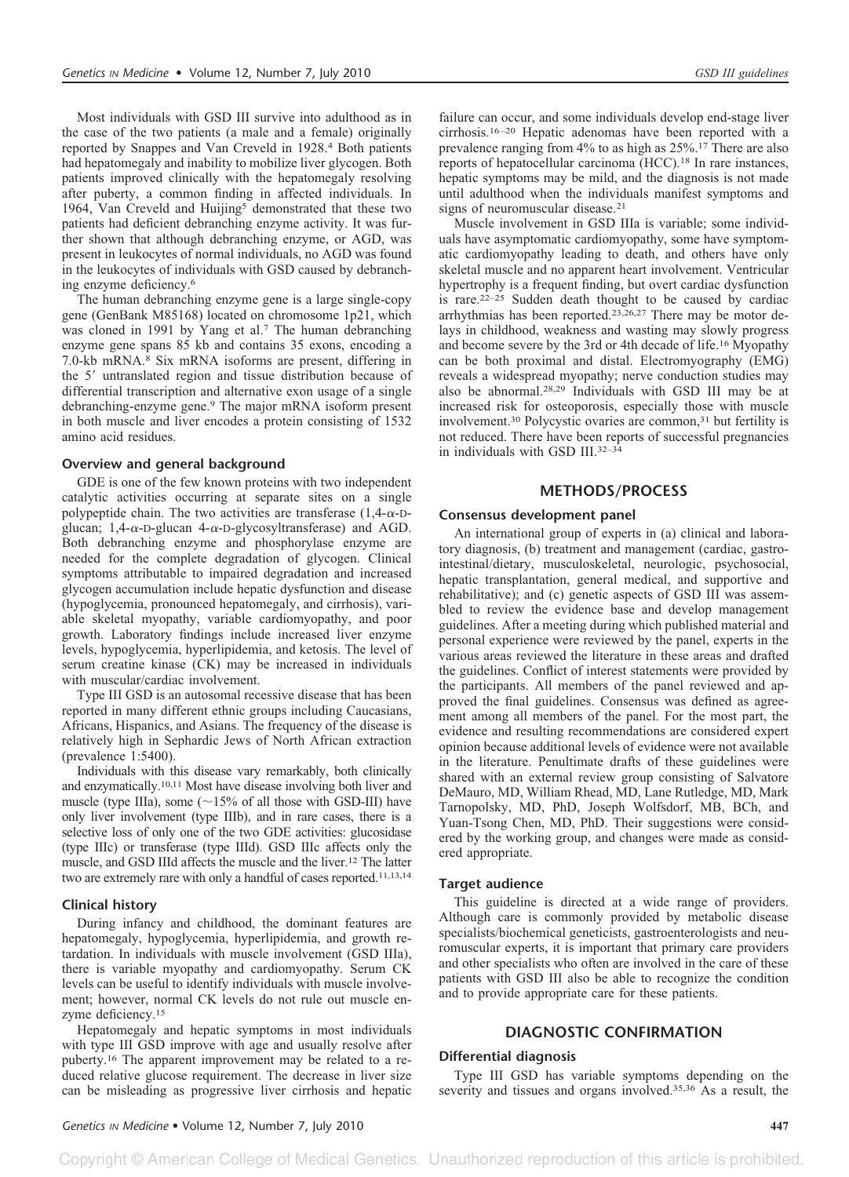Most individuals with GSD III survive into adulthood as in the case of the two patients (a male and a female) originally reported by Snappes and Van Creveld in 1928.4 Both patients had hepatomegaly and inability to mobilize liver glycogen. Both patients improved clinically with the hepatomegaly resolving after puberty, a common finding in affected individuals. In 1964, Van Creveld and Huijing<sup>5</sup> demonstrated that these two patients had deficient debranching enzyme activity. It was further shown that although debranching enzyme, or AGD, was present in leukocytes of normal individuals, no AGD was found in the leukocytes of individuals with GSD caused by debranching enzyme deficiency.6

The human debranching enzyme gene is a large single-copy gene (GenBank M85168) located on chromosome 1p21, which was cloned in 1991 by Yang et al.7 The human debranching enzyme gene spans 85 kb and contains 35 exons, encoding a 7.0-kb mRNA.8 Six mRNA isoforms are present, differing in the 5' untranslated region and tissue distribution because of differential transcription and alternative exon usage of a single debranching-enzyme gene.9 The major mRNA isoform present in both muscle and liver encodes a protein consisting of 1532 amino acid residues.

#### **Overview and general background**

GDE is one of the few known proteins with two independent catalytic activities occurring at separate sites on a single polypeptide chain. The two activities are transferase  $(1,4-\alpha-D$ glucan; 1,4- $\alpha$ -D-glucan 4- $\alpha$ -D-glycosyltransferase) and AGD. Both debranching enzyme and phosphorylase enzyme are needed for the complete degradation of glycogen. Clinical symptoms attributable to impaired degradation and increased glycogen accumulation include hepatic dysfunction and disease (hypoglycemia, pronounced hepatomegaly, and cirrhosis), variable skeletal myopathy, variable cardiomyopathy, and poor growth. Laboratory findings include increased liver enzyme levels, hypoglycemia, hyperlipidemia, and ketosis. The level of serum creatine kinase (CK) may be increased in individuals with muscular/cardiac involvement.

Type III GSD is an autosomal recessive disease that has been reported in many different ethnic groups including Caucasians, Africans, Hispanics, and Asians. The frequency of the disease is relatively high in Sephardic Jews of North African extraction (prevalence 1:5400).

Individuals with this disease vary remarkably, both clinically and enzymatically.10,11 Most have disease involving both liver and muscle (type IIIa), some  $(\sim 15\%$  of all those with GSD-III) have only liver involvement (type IIIb), and in rare cases, there is a selective loss of only one of the two GDE activities: glucosidase (type IIIc) or transferase (type IIId). GSD IIIc affects only the muscle, and GSD IIId affects the muscle and the liver.12 The latter two are extremely rare with only a handful of cases reported.<sup>11,13,14</sup>

#### **Clinical history**

During infancy and childhood, the dominant features are hepatomegaly, hypoglycemia, hyperlipidemia, and growth retardation. In individuals with muscle involvement (GSD IIIa), there is variable myopathy and cardiomyopathy. Serum CK levels can be useful to identify individuals with muscle involvement; however, normal CK levels do not rule out muscle enzyme deficiency.15

Hepatomegaly and hepatic symptoms in most individuals with type III GSD improve with age and usually resolve after puberty.16 The apparent improvement may be related to a reduced relative glucose requirement. The decrease in liver size can be misleading as progressive liver cirrhosis and hepatic failure can occur, and some individuals develop end-stage liver cirrhosis.16 –20 Hepatic adenomas have been reported with a prevalence ranging from 4% to as high as 25%.17 There are also reports of hepatocellular carcinoma (HCC).<sup>18</sup> In rare instances, hepatic symptoms may be mild, and the diagnosis is not made until adulthood when the individuals manifest symptoms and signs of neuromuscular disease.<sup>21</sup>

Muscle involvement in GSD IIIa is variable; some individuals have asymptomatic cardiomyopathy, some have symptomatic cardiomyopathy leading to death, and others have only skeletal muscle and no apparent heart involvement. Ventricular hypertrophy is a frequent finding, but overt cardiac dysfunction is rare.<sup>22–25</sup> Sudden death thought to be caused by cardiac arrhythmias has been reported.23,26,27 There may be motor delays in childhood, weakness and wasting may slowly progress and become severe by the 3rd or 4th decade of life.16 Myopathy can be both proximal and distal. Electromyography (EMG) reveals a widespread myopathy; nerve conduction studies may also be abnormal.28,29 Individuals with GSD III may be at increased risk for osteoporosis, especially those with muscle involvement.30 Polycystic ovaries are common,31 but fertility is not reduced. There have been reports of successful pregnancies in individuals with GSD III.32–34

## **METHODS/PROCESS**

#### **Consensus development panel**

An international group of experts in (a) clinical and laboratory diagnosis, (b) treatment and management (cardiac, gastrointestinal/dietary, musculoskeletal, neurologic, psychosocial, hepatic transplantation, general medical, and supportive and rehabilitative); and (c) genetic aspects of GSD III was assembled to review the evidence base and develop management guidelines. After a meeting during which published material and personal experience were reviewed by the panel, experts in the various areas reviewed the literature in these areas and drafted the guidelines. Conflict of interest statements were provided by the participants. All members of the panel reviewed and approved the final guidelines. Consensus was defined as agreement among all members of the panel. For the most part, the evidence and resulting recommendations are considered expert opinion because additional levels of evidence were not available in the literature. Penultimate drafts of these guidelines were shared with an external review group consisting of Salvatore DeMauro, MD, William Rhead, MD, Lane Rutledge, MD, Mark Tarnopolsky, MD, PhD, Joseph Wolfsdorf, MB, BCh, and Yuan-Tsong Chen, MD, PhD. Their suggestions were considered by the working group, and changes were made as considered appropriate.

#### **Target audience**

This guideline is directed at a wide range of providers. Although care is commonly provided by metabolic disease specialists/biochemical geneticists, gastroenterologists and neuromuscular experts, it is important that primary care providers and other specialists who often are involved in the care of these patients with GSD III also be able to recognize the condition and to provide appropriate care for these patients.

## **DIAGNOSTIC CONFIRMATION**

#### **Differential diagnosis**

Type III GSD has variable symptoms depending on the severity and tissues and organs involved.<sup>35,36</sup> As a result, the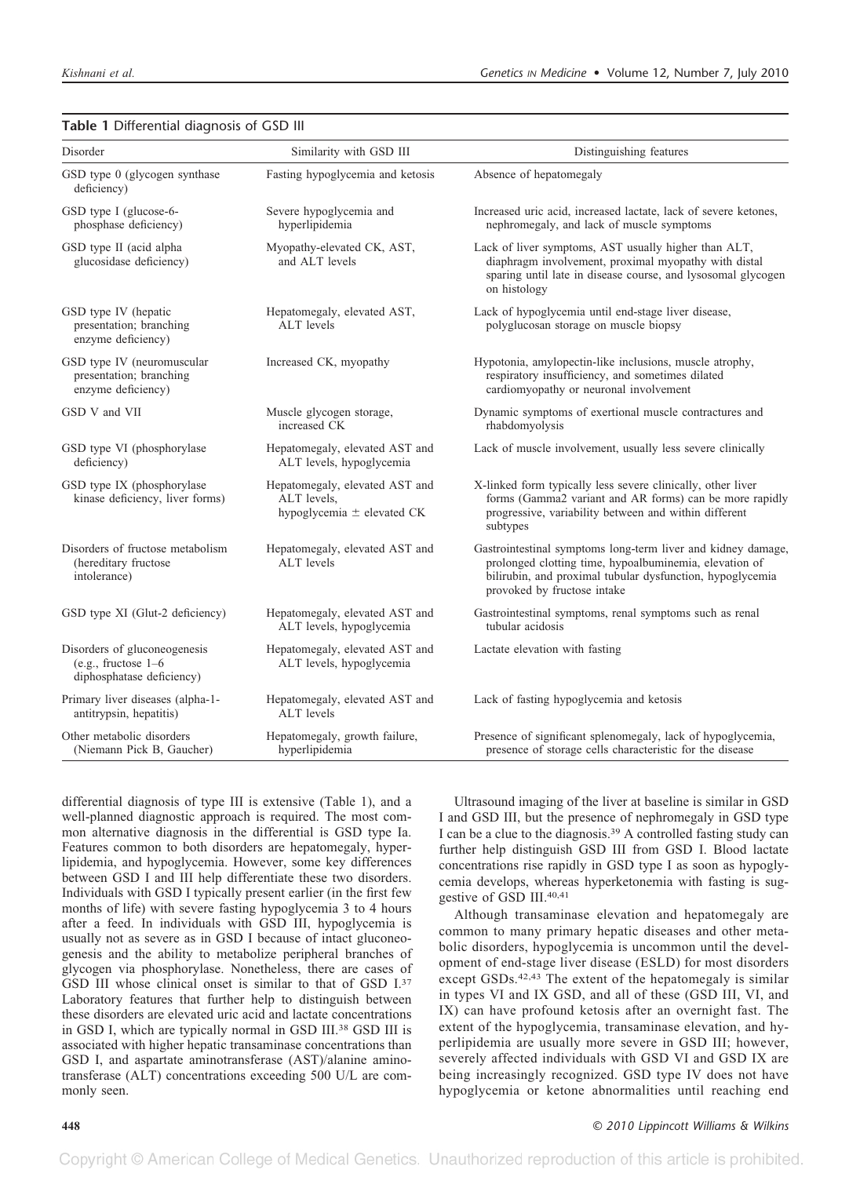| Disorder                                                                           | Similarity with GSD III                                                         | Distinguishing features                                                                                                                                                                                            |
|------------------------------------------------------------------------------------|---------------------------------------------------------------------------------|--------------------------------------------------------------------------------------------------------------------------------------------------------------------------------------------------------------------|
| GSD type 0 (glycogen synthase)<br>deficiency)                                      | Fasting hypoglycemia and ketosis                                                | Absence of hepatomegaly                                                                                                                                                                                            |
| GSD type I (glucose-6-<br>phosphase deficiency)                                    | Severe hypoglycemia and<br>hyperlipidemia                                       | Increased uric acid, increased lactate, lack of severe ketones,<br>nephromegaly, and lack of muscle symptoms                                                                                                       |
| GSD type II (acid alpha<br>glucosidase deficiency)                                 | Myopathy-elevated CK, AST,<br>and ALT levels                                    | Lack of liver symptoms, AST usually higher than ALT,<br>diaphragm involvement, proximal myopathy with distal<br>sparing until late in disease course, and lysosomal glycogen<br>on histology                       |
| GSD type IV (hepatic<br>presentation; branching<br>enzyme deficiency)              | Hepatomegaly, elevated AST,<br><b>ALT</b> levels                                | Lack of hypoglycemia until end-stage liver disease,<br>polyglucosan storage on muscle biopsy                                                                                                                       |
| GSD type IV (neuromuscular<br>presentation; branching<br>enzyme deficiency)        | Increased CK, myopathy                                                          | Hypotonia, amylopectin-like inclusions, muscle atrophy,<br>respiratory insufficiency, and sometimes dilated<br>cardiomyopathy or neuronal involvement                                                              |
| GSD V and VII                                                                      | Muscle glycogen storage,<br>increased CK                                        | Dynamic symptoms of exertional muscle contractures and<br>rhabdomyolysis                                                                                                                                           |
| GSD type VI (phosphorylase<br>deficiency)                                          | Hepatomegaly, elevated AST and<br>ALT levels, hypoglycemia                      | Lack of muscle involvement, usually less severe clinically                                                                                                                                                         |
| GSD type IX (phosphorylase<br>kinase deficiency, liver forms)                      | Hepatomegaly, elevated AST and<br>ALT levels,<br>hypoglycemia $\pm$ elevated CK | X-linked form typically less severe clinically, other liver<br>forms (Gamma2 variant and AR forms) can be more rapidly<br>progressive, variability between and within different<br>subtypes                        |
| Disorders of fructose metabolism<br>(hereditary fructose)<br>intolerance)          | Hepatomegaly, elevated AST and<br><b>ALT</b> levels                             | Gastrointestinal symptoms long-term liver and kidney damage,<br>prolonged clotting time, hypoalbuminemia, elevation of<br>bilirubin, and proximal tubular dysfunction, hypoglycemia<br>provoked by fructose intake |
| GSD type XI (Glut-2 deficiency)                                                    | Hepatomegaly, elevated AST and<br>ALT levels, hypoglycemia                      | Gastrointestinal symptoms, renal symptoms such as renal<br>tubular acidosis                                                                                                                                        |
| Disorders of gluconeogenesis<br>(e.g., fructose $1-6$<br>diphosphatase deficiency) | Hepatomegaly, elevated AST and<br>ALT levels, hypoglycemia                      | Lactate elevation with fasting                                                                                                                                                                                     |
| Primary liver diseases (alpha-1-<br>antitrypsin, hepatitis)                        | Hepatomegaly, elevated AST and<br><b>ALT</b> levels                             | Lack of fasting hypoglycemia and ketosis                                                                                                                                                                           |
| Other metabolic disorders<br>(Niemann Pick B, Gaucher)                             | Hepatomegaly, growth failure,<br>hyperlipidemia                                 | Presence of significant splenomegaly, lack of hypoglycemia,<br>presence of storage cells characteristic for the disease                                                                                            |

## **Table 1** Differential diagnosis of GSD III

differential diagnosis of type III is extensive (Table 1), and a well-planned diagnostic approach is required. The most common alternative diagnosis in the differential is GSD type Ia. Features common to both disorders are hepatomegaly, hyperlipidemia, and hypoglycemia. However, some key differences between GSD I and III help differentiate these two disorders. Individuals with GSD I typically present earlier (in the first few months of life) with severe fasting hypoglycemia 3 to 4 hours after a feed. In individuals with GSD III, hypoglycemia is usually not as severe as in GSD I because of intact gluconeogenesis and the ability to metabolize peripheral branches of glycogen via phosphorylase. Nonetheless, there are cases of GSD III whose clinical onset is similar to that of GSD I.<sup>37</sup> Laboratory features that further help to distinguish between these disorders are elevated uric acid and lactate concentrations in GSD I, which are typically normal in GSD III.38 GSD III is associated with higher hepatic transaminase concentrations than GSD I, and aspartate aminotransferase (AST)/alanine aminotransferase (ALT) concentrations exceeding 500 U/L are commonly seen.

Ultrasound imaging of the liver at baseline is similar in GSD I and GSD III, but the presence of nephromegaly in GSD type I can be a clue to the diagnosis.39 A controlled fasting study can further help distinguish GSD III from GSD I. Blood lactate concentrations rise rapidly in GSD type I as soon as hypoglycemia develops, whereas hyperketonemia with fasting is suggestive of GSD III.40,41

Although transaminase elevation and hepatomegaly are common to many primary hepatic diseases and other metabolic disorders, hypoglycemia is uncommon until the development of end-stage liver disease (ESLD) for most disorders except GSDs.<sup>42,43</sup> The extent of the hepatomegaly is similar in types VI and IX GSD, and all of these (GSD III, VI, and IX) can have profound ketosis after an overnight fast. The extent of the hypoglycemia, transaminase elevation, and hyperlipidemia are usually more severe in GSD III; however, severely affected individuals with GSD VI and GSD IX are being increasingly recognized. GSD type IV does not have hypoglycemia or ketone abnormalities until reaching end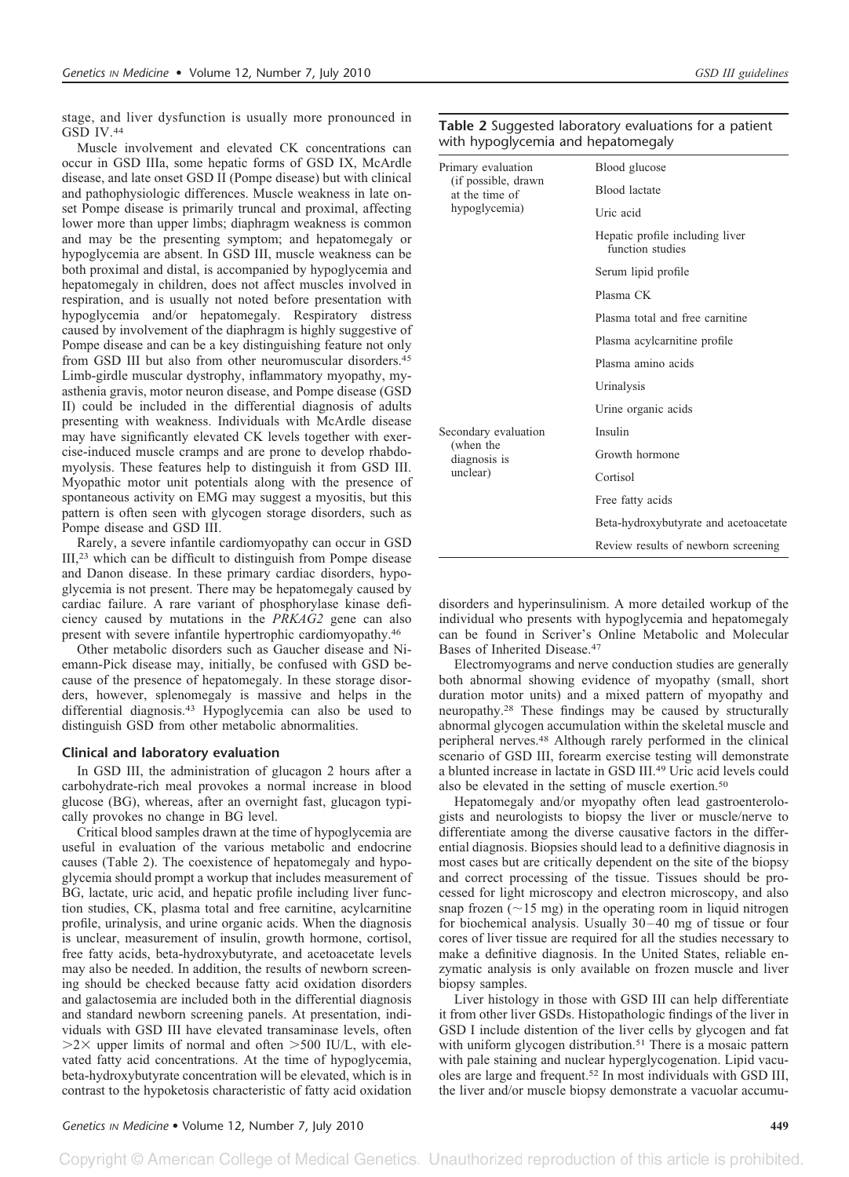stage, and liver dysfunction is usually more pronounced in GSD IV.44

Muscle involvement and elevated CK concentrations can occur in GSD IIIa, some hepatic forms of GSD IX, McArdle disease, and late onset GSD II (Pompe disease) but with clinical and pathophysiologic differences. Muscle weakness in late onset Pompe disease is primarily truncal and proximal, affecting lower more than upper limbs; diaphragm weakness is common and may be the presenting symptom; and hepatomegaly or hypoglycemia are absent. In GSD III, muscle weakness can be both proximal and distal, is accompanied by hypoglycemia and hepatomegaly in children, does not affect muscles involved in respiration, and is usually not noted before presentation with hypoglycemia and/or hepatomegaly. Respiratory distress caused by involvement of the diaphragm is highly suggestive of Pompe disease and can be a key distinguishing feature not only from GSD III but also from other neuromuscular disorders.45 Limb-girdle muscular dystrophy, inflammatory myopathy, myasthenia gravis, motor neuron disease, and Pompe disease (GSD II) could be included in the differential diagnosis of adults presenting with weakness. Individuals with McArdle disease may have significantly elevated CK levels together with exercise-induced muscle cramps and are prone to develop rhabdomyolysis. These features help to distinguish it from GSD III. Myopathic motor unit potentials along with the presence of spontaneous activity on EMG may suggest a myositis, but this pattern is often seen with glycogen storage disorders, such as Pompe disease and GSD III.

Rarely, a severe infantile cardiomyopathy can occur in GSD III,23 which can be difficult to distinguish from Pompe disease and Danon disease. In these primary cardiac disorders, hypoglycemia is not present. There may be hepatomegaly caused by cardiac failure. A rare variant of phosphorylase kinase deficiency caused by mutations in the *PRKAG2* gene can also present with severe infantile hypertrophic cardiomyopathy.46

Other metabolic disorders such as Gaucher disease and Niemann-Pick disease may, initially, be confused with GSD because of the presence of hepatomegaly. In these storage disorders, however, splenomegaly is massive and helps in the differential diagnosis.43 Hypoglycemia can also be used to distinguish GSD from other metabolic abnormalities.

#### **Clinical and laboratory evaluation**

In GSD III, the administration of glucagon 2 hours after a carbohydrate-rich meal provokes a normal increase in blood glucose (BG), whereas, after an overnight fast, glucagon typically provokes no change in BG level.

Critical blood samples drawn at the time of hypoglycemia are useful in evaluation of the various metabolic and endocrine causes (Table 2). The coexistence of hepatomegaly and hypoglycemia should prompt a workup that includes measurement of BG, lactate, uric acid, and hepatic profile including liver function studies, CK, plasma total and free carnitine, acylcarnitine profile, urinalysis, and urine organic acids. When the diagnosis is unclear, measurement of insulin, growth hormone, cortisol, free fatty acids, beta-hydroxybutyrate, and acetoacetate levels may also be needed. In addition, the results of newborn screening should be checked because fatty acid oxidation disorders and galactosemia are included both in the differential diagnosis and standard newborn screening panels. At presentation, individuals with GSD III have elevated transaminase levels, often  $>2\times$  upper limits of normal and often  $>500$  IU/L, with elevated fatty acid concentrations. At the time of hypoglycemia, beta-hydroxybutyrate concentration will be elevated, which is in contrast to the hypoketosis characteristic of fatty acid oxidation

| Primary evaluation                    | Blood glucose                                       |
|---------------------------------------|-----------------------------------------------------|
| (if possible, drawn<br>at the time of | <b>Blood</b> lactate                                |
| hypoglycemia)                         | Uric acid                                           |
|                                       | Hepatic profile including liver<br>function studies |
|                                       | Serum lipid profile                                 |
|                                       | Plasma CK                                           |
|                                       | Plasma total and free carnitine                     |
|                                       | Plasma acylcarnitine profile                        |
|                                       | Plasma amino acids                                  |
|                                       | Urinalysis                                          |
|                                       | Urine organic acids                                 |
| Secondary evaluation                  | Insulin                                             |
| (when the<br>diagnosis is             | Growth hormone                                      |
| unclear)                              | Cortisol                                            |
|                                       | Free fatty acids                                    |
|                                       | Beta-hydroxybutyrate and acetoacetate               |
|                                       | Review results of newborn screening                 |

#### **Table 2** Suggested laboratory evaluations for a patient with hypoglycemia and hepatomegaly

disorders and hyperinsulinism. A more detailed workup of the individual who presents with hypoglycemia and hepatomegaly can be found in Scriver's Online Metabolic and Molecular Bases of Inherited Disease.47

Electromyograms and nerve conduction studies are generally both abnormal showing evidence of myopathy (small, short duration motor units) and a mixed pattern of myopathy and neuropathy.28 These findings may be caused by structurally abnormal glycogen accumulation within the skeletal muscle and peripheral nerves.48 Although rarely performed in the clinical scenario of GSD III, forearm exercise testing will demonstrate a blunted increase in lactate in GSD III.49 Uric acid levels could also be elevated in the setting of muscle exertion.50

Hepatomegaly and/or myopathy often lead gastroenterologists and neurologists to biopsy the liver or muscle/nerve to differentiate among the diverse causative factors in the differential diagnosis. Biopsies should lead to a definitive diagnosis in most cases but are critically dependent on the site of the biopsy and correct processing of the tissue. Tissues should be processed for light microscopy and electron microscopy, and also snap frozen  $(\sim 15 \text{ mg})$  in the operating room in liquid nitrogen for biochemical analysis. Usually 30 – 40 mg of tissue or four cores of liver tissue are required for all the studies necessary to make a definitive diagnosis. In the United States, reliable enzymatic analysis is only available on frozen muscle and liver biopsy samples.

Liver histology in those with GSD III can help differentiate it from other liver GSDs. Histopathologic findings of the liver in GSD I include distention of the liver cells by glycogen and fat with uniform glycogen distribution.<sup>51</sup> There is a mosaic pattern with pale staining and nuclear hyperglycogenation. Lipid vacuoles are large and frequent.52 In most individuals with GSD III, the liver and/or muscle biopsy demonstrate a vacuolar accumu-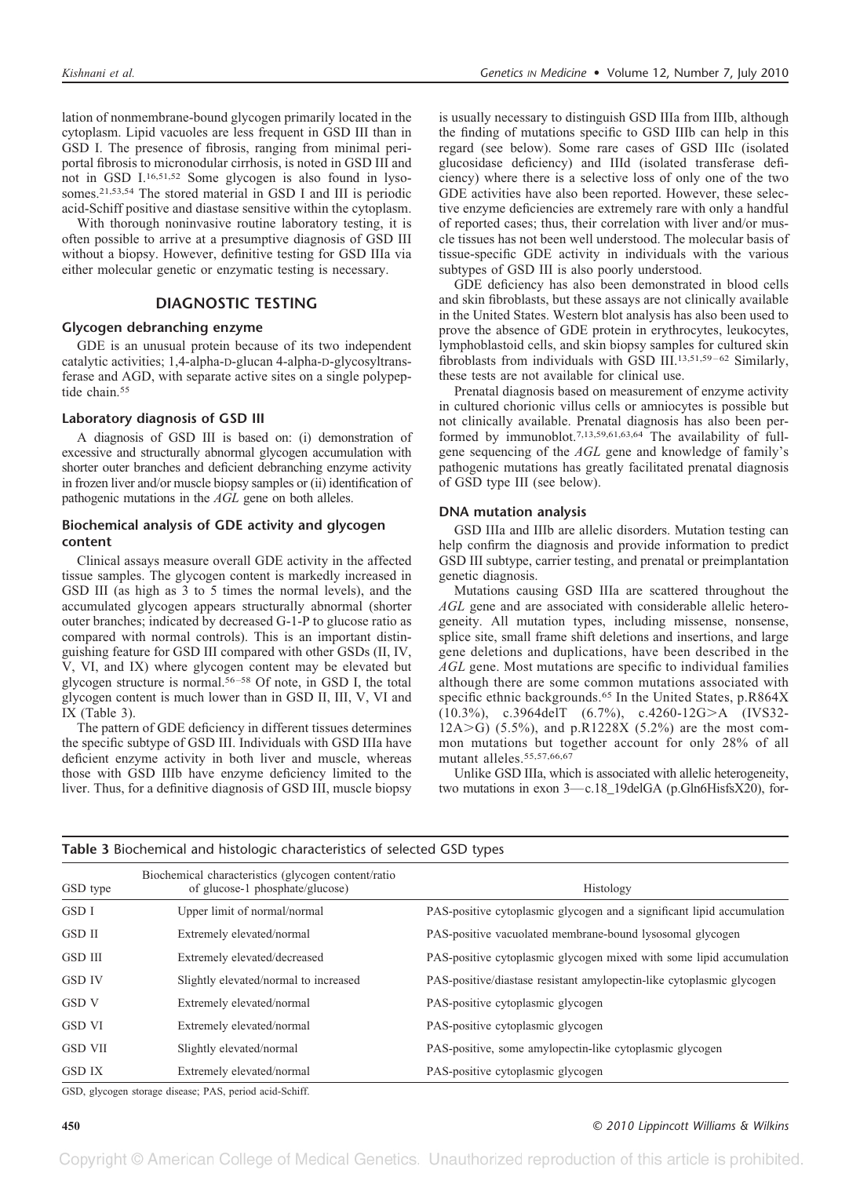lation of nonmembrane-bound glycogen primarily located in the cytoplasm. Lipid vacuoles are less frequent in GSD III than in GSD I. The presence of fibrosis, ranging from minimal periportal fibrosis to micronodular cirrhosis, is noted in GSD III and not in GSD I.16,51,52 Some glycogen is also found in lysosomes.21,53,54 The stored material in GSD I and III is periodic acid-Schiff positive and diastase sensitive within the cytoplasm.

With thorough noninvasive routine laboratory testing, it is often possible to arrive at a presumptive diagnosis of GSD III without a biopsy. However, definitive testing for GSD IIIa via either molecular genetic or enzymatic testing is necessary.

## **DIAGNOSTIC TESTING**

#### **Glycogen debranching enzyme**

GDE is an unusual protein because of its two independent catalytic activities; 1,4-alpha-D-glucan 4-alpha-D-glycosyltransferase and AGD, with separate active sites on a single polypeptide chain.<sup>55</sup>

## **Laboratory diagnosis of GSD III**

A diagnosis of GSD III is based on: (i) demonstration of excessive and structurally abnormal glycogen accumulation with shorter outer branches and deficient debranching enzyme activity in frozen liver and/or muscle biopsy samples or (ii) identification of pathogenic mutations in the *AGL* gene on both alleles.

## **Biochemical analysis of GDE activity and glycogen content**

Clinical assays measure overall GDE activity in the affected tissue samples. The glycogen content is markedly increased in GSD III (as high as 3 to 5 times the normal levels), and the accumulated glycogen appears structurally abnormal (shorter outer branches; indicated by decreased G-1-P to glucose ratio as compared with normal controls). This is an important distinguishing feature for GSD III compared with other GSDs (II, IV, V, VI, and IX) where glycogen content may be elevated but glycogen structure is normal.56 –58 Of note, in GSD I, the total glycogen content is much lower than in GSD II, III, V, VI and IX (Table 3).

The pattern of GDE deficiency in different tissues determines the specific subtype of GSD III. Individuals with GSD IIIa have deficient enzyme activity in both liver and muscle, whereas those with GSD IIIb have enzyme deficiency limited to the liver. Thus, for a definitive diagnosis of GSD III, muscle biopsy is usually necessary to distinguish GSD IIIa from IIIb, although the finding of mutations specific to GSD IIIb can help in this regard (see below). Some rare cases of GSD IIIc (isolated glucosidase deficiency) and IIId (isolated transferase deficiency) where there is a selective loss of only one of the two GDE activities have also been reported. However, these selective enzyme deficiencies are extremely rare with only a handful of reported cases; thus, their correlation with liver and/or muscle tissues has not been well understood. The molecular basis of tissue-specific GDE activity in individuals with the various subtypes of GSD III is also poorly understood.

GDE deficiency has also been demonstrated in blood cells and skin fibroblasts, but these assays are not clinically available in the United States. Western blot analysis has also been used to prove the absence of GDE protein in erythrocytes, leukocytes, lymphoblastoid cells, and skin biopsy samples for cultured skin fibroblasts from individuals with GSD III.<sup>13,51,59-62</sup> Similarly, these tests are not available for clinical use.

Prenatal diagnosis based on measurement of enzyme activity in cultured chorionic villus cells or amniocytes is possible but not clinically available. Prenatal diagnosis has also been performed by immunoblot.7,13,59,61,63,64 The availability of fullgene sequencing of the *AGL* gene and knowledge of family's pathogenic mutations has greatly facilitated prenatal diagnosis of GSD type III (see below).

#### **DNA mutation analysis**

GSD IIIa and IIIb are allelic disorders. Mutation testing can help confirm the diagnosis and provide information to predict GSD III subtype, carrier testing, and prenatal or preimplantation genetic diagnosis.

Mutations causing GSD IIIa are scattered throughout the *AGL* gene and are associated with considerable allelic heterogeneity. All mutation types, including missense, nonsense, splice site, small frame shift deletions and insertions, and large gene deletions and duplications, have been described in the *AGL* gene. Most mutations are specific to individual families although there are some common mutations associated with specific ethnic backgrounds.<sup>65</sup> In the United States, p.R864X (10.3%), c.3964delT (6.7%), c.4260-12GA (IVS32-  $12A > G$ ) (5.5%), and p.R1228X (5.2%) are the most common mutations but together account for only 28% of all mutant alleles.55,57,66,67

Unlike GSD IIIa, which is associated with allelic heterogeneity, two mutations in exon 3—c.18\_19delGA (p.Gln6HisfsX20), for-

| Table 3 Biochemical and histologic characteristics of selected GSD types |                                                                                        |                                                                        |  |
|--------------------------------------------------------------------------|----------------------------------------------------------------------------------------|------------------------------------------------------------------------|--|
| GSD type                                                                 | Biochemical characteristics (glycogen content/ratio<br>of glucose-1 phosphate/glucose) | Histology                                                              |  |
| GSD I                                                                    | Upper limit of normal/normal                                                           | PAS-positive cytoplasmic glycogen and a significant lipid accumulation |  |
| GSD II                                                                   | Extremely elevated/normal                                                              | PAS-positive vacuolated membrane-bound lysosomal glycogen              |  |
| <b>GSD III</b>                                                           | Extremely elevated/decreased                                                           | PAS-positive cytoplasmic glycogen mixed with some lipid accumulation   |  |
| <b>GSD IV</b>                                                            | Slightly elevated/normal to increased                                                  | PAS-positive/diastase resistant amylopectin-like cytoplasmic glycogen  |  |
| GSD V                                                                    | Extremely elevated/normal                                                              | PAS-positive cytoplasmic glycogen                                      |  |
| <b>GSD VI</b>                                                            | Extremely elevated/normal                                                              | PAS-positive cytoplasmic glycogen                                      |  |
| <b>GSD VII</b>                                                           | Slightly elevated/normal                                                               | PAS-positive, some amylopectin-like cytoplasmic glycogen               |  |
| GSD IX                                                                   | Extremely elevated/normal                                                              | PAS-positive cytoplasmic glycogen                                      |  |

GSD, glycogen storage disease; PAS, period acid-Schiff.

#### **450** *© 2010 Lippincott Williams & Wilkins*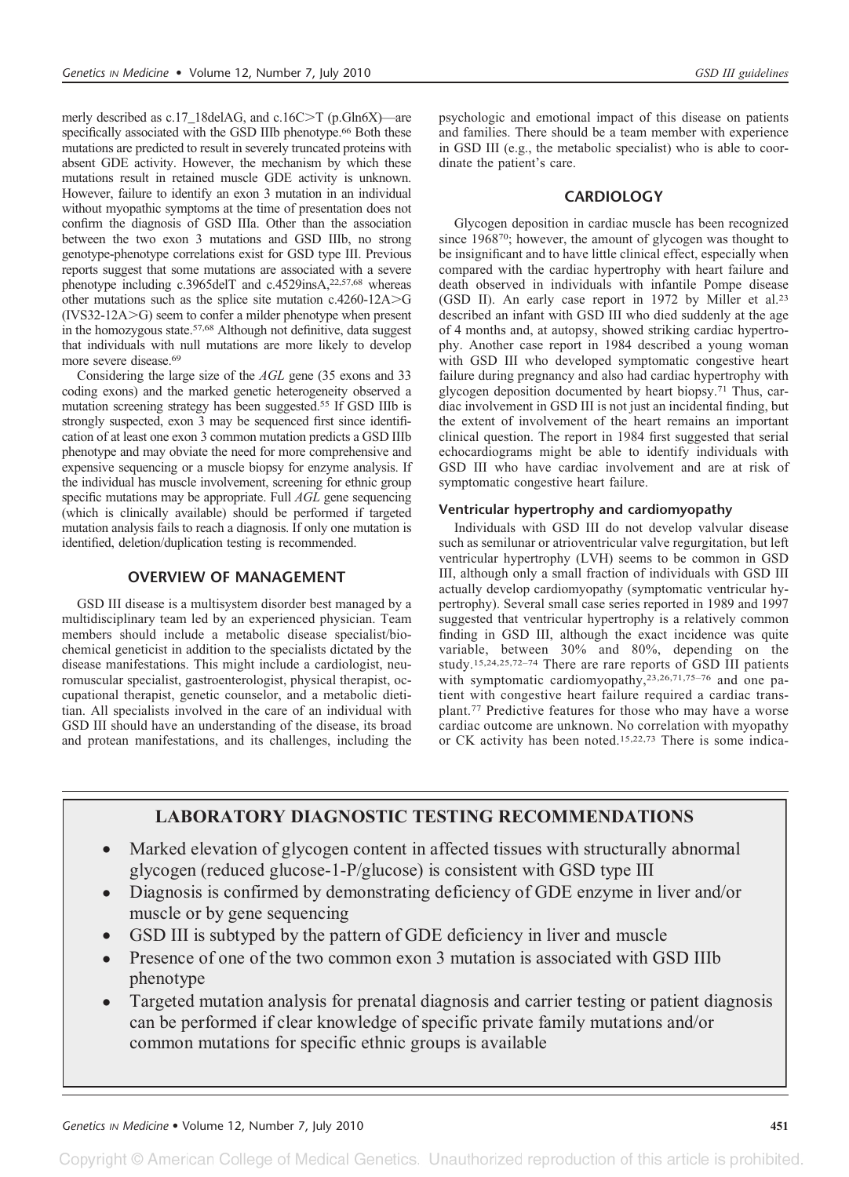merly described as c.17\_18delAG, and c.16C>T (p.Gln6X)—are specifically associated with the GSD IIIb phenotype.<sup>66</sup> Both these mutations are predicted to result in severely truncated proteins with absent GDE activity. However, the mechanism by which these mutations result in retained muscle GDE activity is unknown. However, failure to identify an exon 3 mutation in an individual without myopathic symptoms at the time of presentation does not confirm the diagnosis of GSD IIIa. Other than the association between the two exon 3 mutations and GSD IIIb, no strong genotype-phenotype correlations exist for GSD type III. Previous reports suggest that some mutations are associated with a severe phenotype including c.3965delT and c.4529insA,<sup>22,57,68</sup> whereas other mutations such as the splice site mutation  $c.4260-12A > G$ (IVS32-12AG) seem to confer a milder phenotype when present in the homozygous state.57,68 Although not definitive, data suggest that individuals with null mutations are more likely to develop more severe disease.69

Considering the large size of the *AGL* gene (35 exons and 33 coding exons) and the marked genetic heterogeneity observed a mutation screening strategy has been suggested.55 If GSD IIIb is strongly suspected, exon 3 may be sequenced first since identification of at least one exon 3 common mutation predicts a GSD IIIb phenotype and may obviate the need for more comprehensive and expensive sequencing or a muscle biopsy for enzyme analysis. If the individual has muscle involvement, screening for ethnic group specific mutations may be appropriate. Full *AGL* gene sequencing (which is clinically available) should be performed if targeted mutation analysis fails to reach a diagnosis. If only one mutation is identified, deletion/duplication testing is recommended.

## **OVERVIEW OF MANAGEMENT**

GSD III disease is a multisystem disorder best managed by a multidisciplinary team led by an experienced physician. Team members should include a metabolic disease specialist/biochemical geneticist in addition to the specialists dictated by the disease manifestations. This might include a cardiologist, neuromuscular specialist, gastroenterologist, physical therapist, occupational therapist, genetic counselor, and a metabolic dietitian. All specialists involved in the care of an individual with GSD III should have an understanding of the disease, its broad and protean manifestations, and its challenges, including the psychologic and emotional impact of this disease on patients and families. There should be a team member with experience in GSD III (e.g., the metabolic specialist) who is able to coordinate the patient's care.

## **CARDIOLOGY**

Glycogen deposition in cardiac muscle has been recognized since 196870; however, the amount of glycogen was thought to be insignificant and to have little clinical effect, especially when compared with the cardiac hypertrophy with heart failure and death observed in individuals with infantile Pompe disease (GSD II). An early case report in 1972 by Miller et al.23 described an infant with GSD III who died suddenly at the age of 4 months and, at autopsy, showed striking cardiac hypertrophy. Another case report in 1984 described a young woman with GSD III who developed symptomatic congestive heart failure during pregnancy and also had cardiac hypertrophy with glycogen deposition documented by heart biopsy.71 Thus, cardiac involvement in GSD III is not just an incidental finding, but the extent of involvement of the heart remains an important clinical question. The report in 1984 first suggested that serial echocardiograms might be able to identify individuals with GSD III who have cardiac involvement and are at risk of symptomatic congestive heart failure.

#### **Ventricular hypertrophy and cardiomyopathy**

Individuals with GSD III do not develop valvular disease such as semilunar or atrioventricular valve regurgitation, but left ventricular hypertrophy (LVH) seems to be common in GSD III, although only a small fraction of individuals with GSD III actually develop cardiomyopathy (symptomatic ventricular hypertrophy). Several small case series reported in 1989 and 1997 suggested that ventricular hypertrophy is a relatively common finding in GSD III, although the exact incidence was quite variable, between 30% and 80%, depending on the study.15,24,25,72–74 There are rare reports of GSD III patients with symptomatic cardiomyopathy,<sup>23,26,71,75-76</sup> and one patient with congestive heart failure required a cardiac transplant.77 Predictive features for those who may have a worse cardiac outcome are unknown. No correlation with myopathy or CK activity has been noted.15,22,73 There is some indica-

# **LABORATORY DIAGNOSTIC TESTING RECOMMENDATIONS**

- Marked elevation of glycogen content in affected tissues with structurally abnormal glycogen (reduced glucose-1-P/glucose) is consistent with GSD type III
- Diagnosis is confirmed by demonstrating deficiency of GDE enzyme in liver and/or muscle or by gene sequencing
- GSD III is subtyped by the pattern of GDE deficiency in liver and muscle
- Presence of one of the two common exon 3 mutation is associated with GSD IIIb phenotype
- Targeted mutation analysis for prenatal diagnosis and carrier testing or patient diagnosis can be performed if clear knowledge of specific private family mutations and/or common mutations for specific ethnic groups is available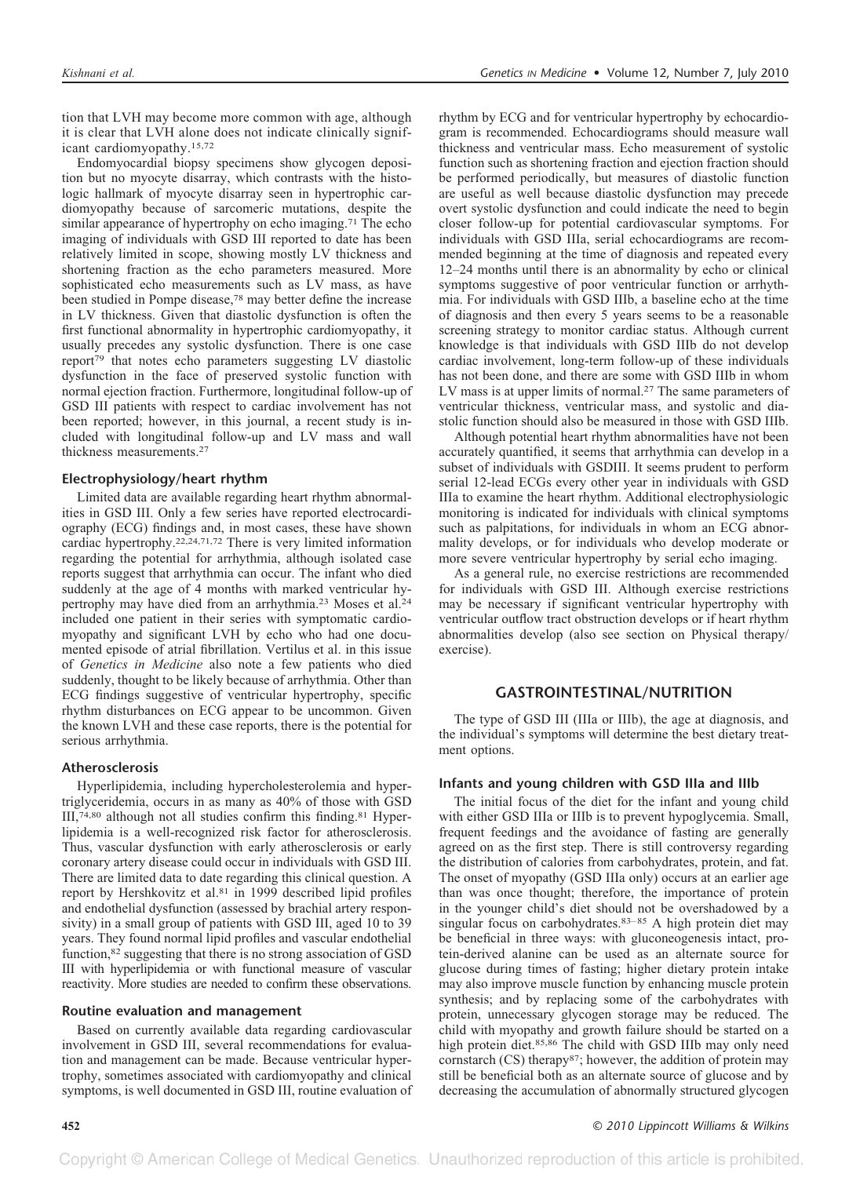tion that LVH may become more common with age, although it is clear that LVH alone does not indicate clinically significant cardiomyopathy.15,72

Endomyocardial biopsy specimens show glycogen deposition but no myocyte disarray, which contrasts with the histologic hallmark of myocyte disarray seen in hypertrophic cardiomyopathy because of sarcomeric mutations, despite the similar appearance of hypertrophy on echo imaging.<sup>71</sup> The echo imaging of individuals with GSD III reported to date has been relatively limited in scope, showing mostly LV thickness and shortening fraction as the echo parameters measured. More sophisticated echo measurements such as LV mass, as have been studied in Pompe disease,78 may better define the increase in LV thickness. Given that diastolic dysfunction is often the first functional abnormality in hypertrophic cardiomyopathy, it usually precedes any systolic dysfunction. There is one case report79 that notes echo parameters suggesting LV diastolic dysfunction in the face of preserved systolic function with normal ejection fraction. Furthermore, longitudinal follow-up of GSD III patients with respect to cardiac involvement has not been reported; however, in this journal, a recent study is included with longitudinal follow-up and LV mass and wall thickness measurements.27

#### **Electrophysiology/heart rhythm**

Limited data are available regarding heart rhythm abnormalities in GSD III. Only a few series have reported electrocardiography (ECG) findings and, in most cases, these have shown cardiac hypertrophy.22,24,71,72 There is very limited information regarding the potential for arrhythmia, although isolated case reports suggest that arrhythmia can occur. The infant who died suddenly at the age of 4 months with marked ventricular hypertrophy may have died from an arrhythmia.23 Moses et al.24 included one patient in their series with symptomatic cardiomyopathy and significant LVH by echo who had one documented episode of atrial fibrillation. Vertilus et al. in this issue of *Genetics in Medicine* also note a few patients who died suddenly, thought to be likely because of arrhythmia. Other than ECG findings suggestive of ventricular hypertrophy, specific rhythm disturbances on ECG appear to be uncommon. Given the known LVH and these case reports, there is the potential for serious arrhythmia.

#### **Atherosclerosis**

Hyperlipidemia, including hypercholesterolemia and hypertriglyceridemia, occurs in as many as 40% of those with GSD III,74,80 although not all studies confirm this finding.81 Hyperlipidemia is a well-recognized risk factor for atherosclerosis. Thus, vascular dysfunction with early atherosclerosis or early coronary artery disease could occur in individuals with GSD III. There are limited data to date regarding this clinical question. A report by Hershkovitz et al.<sup>81</sup> in 1999 described lipid profiles and endothelial dysfunction (assessed by brachial artery responsivity) in a small group of patients with GSD III, aged 10 to 39 years. They found normal lipid profiles and vascular endothelial function,<sup>82</sup> suggesting that there is no strong association of GSD III with hyperlipidemia or with functional measure of vascular reactivity. More studies are needed to confirm these observations.

#### **Routine evaluation and management**

Based on currently available data regarding cardiovascular involvement in GSD III, several recommendations for evaluation and management can be made. Because ventricular hypertrophy, sometimes associated with cardiomyopathy and clinical symptoms, is well documented in GSD III, routine evaluation of rhythm by ECG and for ventricular hypertrophy by echocardiogram is recommended. Echocardiograms should measure wall thickness and ventricular mass. Echo measurement of systolic function such as shortening fraction and ejection fraction should be performed periodically, but measures of diastolic function are useful as well because diastolic dysfunction may precede overt systolic dysfunction and could indicate the need to begin closer follow-up for potential cardiovascular symptoms. For individuals with GSD IIIa, serial echocardiograms are recommended beginning at the time of diagnosis and repeated every 12–24 months until there is an abnormality by echo or clinical symptoms suggestive of poor ventricular function or arrhythmia. For individuals with GSD IIIb, a baseline echo at the time of diagnosis and then every 5 years seems to be a reasonable screening strategy to monitor cardiac status. Although current knowledge is that individuals with GSD IIIb do not develop cardiac involvement, long-term follow-up of these individuals has not been done, and there are some with GSD IIIb in whom LV mass is at upper limits of normal.<sup>27</sup> The same parameters of ventricular thickness, ventricular mass, and systolic and diastolic function should also be measured in those with GSD IIIb.

Although potential heart rhythm abnormalities have not been accurately quantified, it seems that arrhythmia can develop in a subset of individuals with GSDIII. It seems prudent to perform serial 12-lead ECGs every other year in individuals with GSD IIIa to examine the heart rhythm. Additional electrophysiologic monitoring is indicated for individuals with clinical symptoms such as palpitations, for individuals in whom an ECG abnormality develops, or for individuals who develop moderate or more severe ventricular hypertrophy by serial echo imaging.

As a general rule, no exercise restrictions are recommended for individuals with GSD III. Although exercise restrictions may be necessary if significant ventricular hypertrophy with ventricular outflow tract obstruction develops or if heart rhythm abnormalities develop (also see section on Physical therapy/ exercise).

#### **GASTROINTESTINAL/NUTRITION**

The type of GSD III (IIIa or IIIb), the age at diagnosis, and the individual's symptoms will determine the best dietary treatment options.

#### **Infants and young children with GSD IIIa and IIIb**

The initial focus of the diet for the infant and young child with either GSD IIIa or IIIb is to prevent hypoglycemia. Small, frequent feedings and the avoidance of fasting are generally agreed on as the first step. There is still controversy regarding the distribution of calories from carbohydrates, protein, and fat. The onset of myopathy (GSD IIIa only) occurs at an earlier age than was once thought; therefore, the importance of protein in the younger child's diet should not be overshadowed by a singular focus on carbohydrates.<sup>83-85</sup> A high protein diet may be beneficial in three ways: with gluconeogenesis intact, protein-derived alanine can be used as an alternate source for glucose during times of fasting; higher dietary protein intake may also improve muscle function by enhancing muscle protein synthesis; and by replacing some of the carbohydrates with protein, unnecessary glycogen storage may be reduced. The child with myopathy and growth failure should be started on a high protein diet.85,86 The child with GSD IIIb may only need cornstarch (CS) therapy<sup>87</sup>; however, the addition of protein may still be beneficial both as an alternate source of glucose and by decreasing the accumulation of abnormally structured glycogen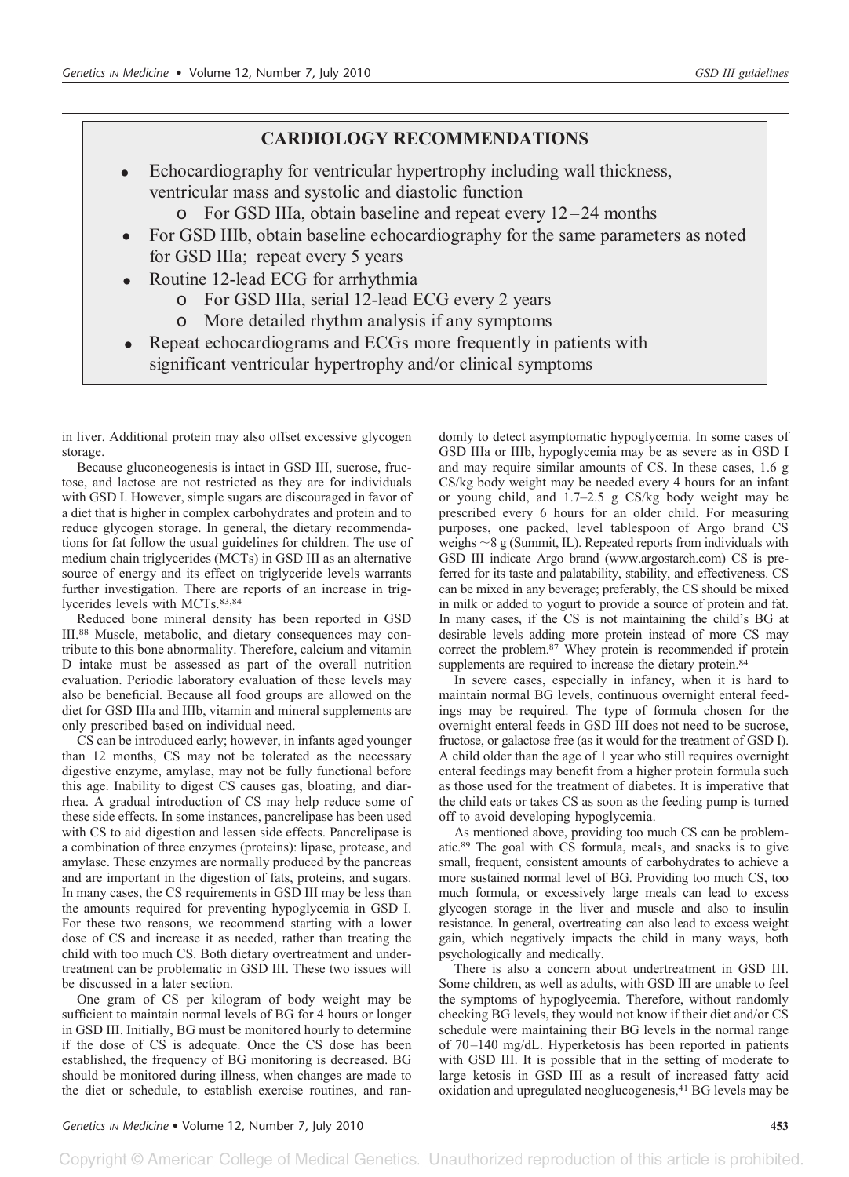## **CARDIOLOGY RECOMMENDATIONS**

- Echocardiography for ventricular hypertrophy including wall thickness, ventricular mass and systolic and diastolic function •
	- o For GSD IIIa, obtain baseline and repeat every 12 –24 months
- For GSD IIIb, obtain baseline echocardiography for the same parameters as noted for GSD IIIa; repeat every 5 years •
- Routine 12-lead ECG for arrhythmia •
	- o For GSD IIIa, serial 12-lead ECG every 2 years
	- o More detailed rhythm analysis if any symptoms
- Repeat echocardiograms and ECGs more frequently in patients with significant ventricular hypertrophy and/or clinical symptoms •

in liver. Additional protein may also offset excessive glycogen storage.

Because gluconeogenesis is intact in GSD III, sucrose, fructose, and lactose are not restricted as they are for individuals with GSD I. However, simple sugars are discouraged in favor of a diet that is higher in complex carbohydrates and protein and to reduce glycogen storage. In general, the dietary recommendations for fat follow the usual guidelines for children. The use of medium chain triglycerides (MCTs) in GSD III as an alternative source of energy and its effect on triglyceride levels warrants further investigation. There are reports of an increase in triglycerides levels with MCTs.83,84

Reduced bone mineral density has been reported in GSD III.88 Muscle, metabolic, and dietary consequences may contribute to this bone abnormality. Therefore, calcium and vitamin D intake must be assessed as part of the overall nutrition evaluation. Periodic laboratory evaluation of these levels may also be beneficial. Because all food groups are allowed on the diet for GSD IIIa and IIIb, vitamin and mineral supplements are only prescribed based on individual need.

CS can be introduced early; however, in infants aged younger than 12 months, CS may not be tolerated as the necessary digestive enzyme, amylase, may not be fully functional before this age. Inability to digest CS causes gas, bloating, and diarrhea. A gradual introduction of CS may help reduce some of these side effects. In some instances, pancrelipase has been used with CS to aid digestion and lessen side effects. Pancrelipase is a combination of three enzymes (proteins): lipase, protease, and amylase. These enzymes are normally produced by the pancreas and are important in the digestion of fats, proteins, and sugars. In many cases, the CS requirements in GSD III may be less than the amounts required for preventing hypoglycemia in GSD I. For these two reasons, we recommend starting with a lower dose of CS and increase it as needed, rather than treating the child with too much CS. Both dietary overtreatment and undertreatment can be problematic in GSD III. These two issues will be discussed in a later section.

One gram of CS per kilogram of body weight may be sufficient to maintain normal levels of BG for 4 hours or longer in GSD III. Initially, BG must be monitored hourly to determine if the dose of CS is adequate. Once the CS dose has been established, the frequency of BG monitoring is decreased. BG should be monitored during illness, when changes are made to the diet or schedule, to establish exercise routines, and randomly to detect asymptomatic hypoglycemia. In some cases of GSD IIIa or IIIb, hypoglycemia may be as severe as in GSD I and may require similar amounts of CS. In these cases, 1.6 g CS/kg body weight may be needed every 4 hours for an infant or young child, and 1.7–2.5 g CS/kg body weight may be prescribed every 6 hours for an older child. For measuring purposes, one packed, level tablespoon of Argo brand CS weighs  $\sim$  8 g (Summit, IL). Repeated reports from individuals with GSD III indicate Argo brand (www.argostarch.com) CS is preferred for its taste and palatability, stability, and effectiveness. CS can be mixed in any beverage; preferably, the CS should be mixed in milk or added to yogurt to provide a source of protein and fat. In many cases, if the CS is not maintaining the child's BG at desirable levels adding more protein instead of more CS may correct the problem.87 Whey protein is recommended if protein supplements are required to increase the dietary protein.<sup>84</sup>

In severe cases, especially in infancy, when it is hard to maintain normal BG levels, continuous overnight enteral feedings may be required. The type of formula chosen for the overnight enteral feeds in GSD III does not need to be sucrose, fructose, or galactose free (as it would for the treatment of GSD I). A child older than the age of 1 year who still requires overnight enteral feedings may benefit from a higher protein formula such as those used for the treatment of diabetes. It is imperative that the child eats or takes CS as soon as the feeding pump is turned off to avoid developing hypoglycemia.

As mentioned above, providing too much CS can be problematic.89 The goal with CS formula, meals, and snacks is to give small, frequent, consistent amounts of carbohydrates to achieve a more sustained normal level of BG. Providing too much CS, too much formula, or excessively large meals can lead to excess glycogen storage in the liver and muscle and also to insulin resistance. In general, overtreating can also lead to excess weight gain, which negatively impacts the child in many ways, both psychologically and medically.

There is also a concern about undertreatment in GSD III. Some children, as well as adults, with GSD III are unable to feel the symptoms of hypoglycemia. Therefore, without randomly checking BG levels, they would not know if their diet and/or CS schedule were maintaining their BG levels in the normal range of 70 –140 mg/dL. Hyperketosis has been reported in patients with GSD III. It is possible that in the setting of moderate to large ketosis in GSD III as a result of increased fatty acid oxidation and upregulated neoglucogenesis,41 BG levels may be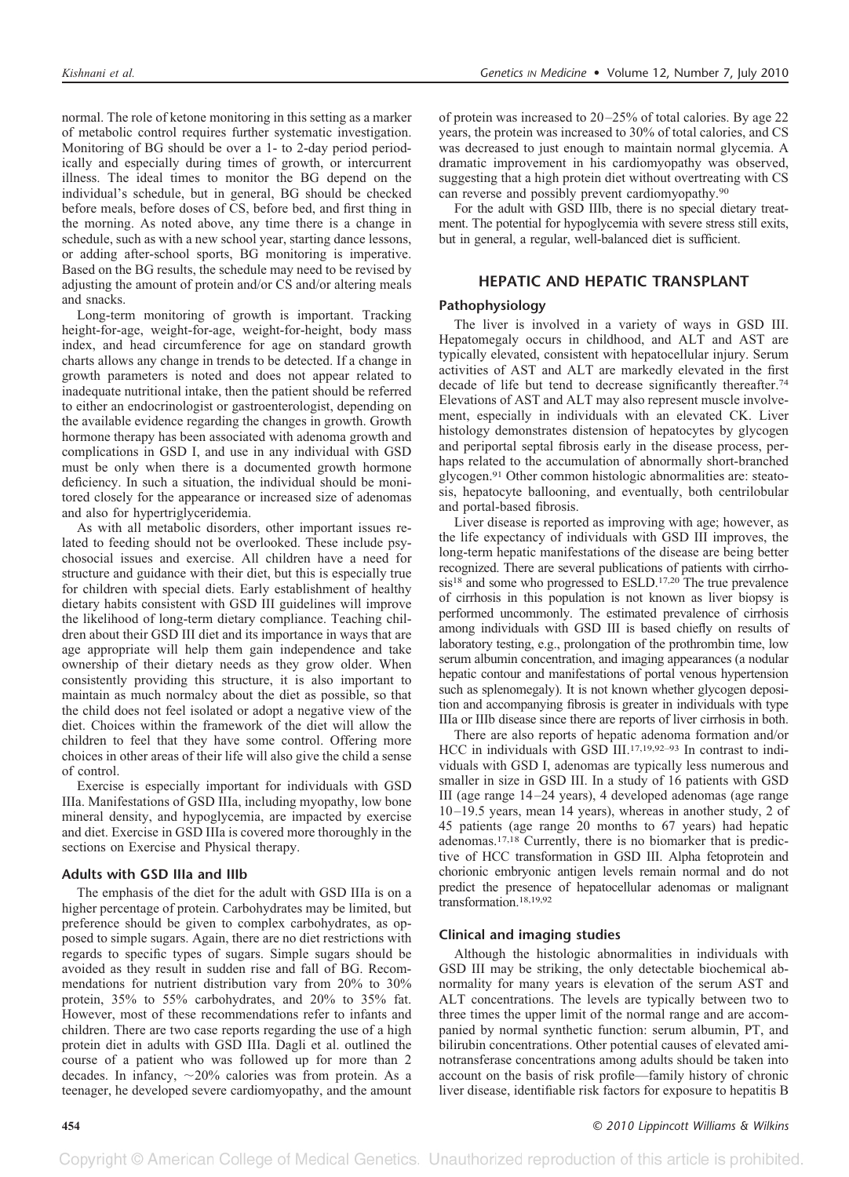normal. The role of ketone monitoring in this setting as a marker of metabolic control requires further systematic investigation. Monitoring of BG should be over a 1- to 2-day period periodically and especially during times of growth, or intercurrent illness. The ideal times to monitor the BG depend on the individual's schedule, but in general, BG should be checked before meals, before doses of CS, before bed, and first thing in the morning. As noted above, any time there is a change in schedule, such as with a new school year, starting dance lessons, or adding after-school sports, BG monitoring is imperative. Based on the BG results, the schedule may need to be revised by adjusting the amount of protein and/or CS and/or altering meals and snacks.

Long-term monitoring of growth is important. Tracking height-for-age, weight-for-age, weight-for-height, body mass index, and head circumference for age on standard growth charts allows any change in trends to be detected. If a change in growth parameters is noted and does not appear related to inadequate nutritional intake, then the patient should be referred to either an endocrinologist or gastroenterologist, depending on the available evidence regarding the changes in growth. Growth hormone therapy has been associated with adenoma growth and complications in GSD I, and use in any individual with GSD must be only when there is a documented growth hormone deficiency. In such a situation, the individual should be monitored closely for the appearance or increased size of adenomas and also for hypertriglyceridemia.

As with all metabolic disorders, other important issues related to feeding should not be overlooked. These include psychosocial issues and exercise. All children have a need for structure and guidance with their diet, but this is especially true for children with special diets. Early establishment of healthy dietary habits consistent with GSD III guidelines will improve the likelihood of long-term dietary compliance. Teaching children about their GSD III diet and its importance in ways that are age appropriate will help them gain independence and take ownership of their dietary needs as they grow older. When consistently providing this structure, it is also important to maintain as much normalcy about the diet as possible, so that the child does not feel isolated or adopt a negative view of the diet. Choices within the framework of the diet will allow the children to feel that they have some control. Offering more choices in other areas of their life will also give the child a sense of control.

Exercise is especially important for individuals with GSD IIIa. Manifestations of GSD IIIa, including myopathy, low bone mineral density, and hypoglycemia, are impacted by exercise and diet. Exercise in GSD IIIa is covered more thoroughly in the sections on Exercise and Physical therapy.

### **Adults with GSD IIIa and IIIb**

The emphasis of the diet for the adult with GSD IIIa is on a higher percentage of protein. Carbohydrates may be limited, but preference should be given to complex carbohydrates, as opposed to simple sugars. Again, there are no diet restrictions with regards to specific types of sugars. Simple sugars should be avoided as they result in sudden rise and fall of BG. Recommendations for nutrient distribution vary from 20% to 30% protein, 35% to 55% carbohydrates, and 20% to 35% fat. However, most of these recommendations refer to infants and children. There are two case reports regarding the use of a high protein diet in adults with GSD IIIa. Dagli et al. outlined the course of a patient who was followed up for more than 2 decades. In infancy,  $\sim$ 20% calories was from protein. As a teenager, he developed severe cardiomyopathy, and the amount

of protein was increased to 20 –25% of total calories. By age 22 years, the protein was increased to 30% of total calories, and CS was decreased to just enough to maintain normal glycemia. A dramatic improvement in his cardiomyopathy was observed, suggesting that a high protein diet without overtreating with CS can reverse and possibly prevent cardiomyopathy.90

For the adult with GSD IIIb, there is no special dietary treatment. The potential for hypoglycemia with severe stress still exits, but in general, a regular, well-balanced diet is sufficient.

## **HEPATIC AND HEPATIC TRANSPLANT**

#### **Pathophysiology**

The liver is involved in a variety of ways in GSD III. Hepatomegaly occurs in childhood, and ALT and AST are typically elevated, consistent with hepatocellular injury. Serum activities of AST and ALT are markedly elevated in the first decade of life but tend to decrease significantly thereafter.74 Elevations of AST and ALT may also represent muscle involvement, especially in individuals with an elevated CK. Liver histology demonstrates distension of hepatocytes by glycogen and periportal septal fibrosis early in the disease process, perhaps related to the accumulation of abnormally short-branched glycogen.91 Other common histologic abnormalities are: steatosis, hepatocyte ballooning, and eventually, both centrilobular and portal-based fibrosis.

Liver disease is reported as improving with age; however, as the life expectancy of individuals with GSD III improves, the long-term hepatic manifestations of the disease are being better recognized. There are several publications of patients with cirrhosis<sup>18</sup> and some who progressed to ESLD.<sup>17,20</sup> The true prevalence of cirrhosis in this population is not known as liver biopsy is performed uncommonly. The estimated prevalence of cirrhosis among individuals with GSD III is based chiefly on results of laboratory testing, e.g., prolongation of the prothrombin time, low serum albumin concentration, and imaging appearances (a nodular hepatic contour and manifestations of portal venous hypertension such as splenomegaly). It is not known whether glycogen deposition and accompanying fibrosis is greater in individuals with type IIIa or IIIb disease since there are reports of liver cirrhosis in both.

There are also reports of hepatic adenoma formation and/or HCC in individuals with GSD III.17,19,92–93 In contrast to individuals with GSD I, adenomas are typically less numerous and smaller in size in GSD III. In a study of 16 patients with GSD III (age range 14 –24 years), 4 developed adenomas (age range 10 –19.5 years, mean 14 years), whereas in another study, 2 of 45 patients (age range 20 months to 67 years) had hepatic adenomas.17,18 Currently, there is no biomarker that is predictive of HCC transformation in GSD III. Alpha fetoprotein and chorionic embryonic antigen levels remain normal and do not predict the presence of hepatocellular adenomas or malignant transformation.18,19,92

#### **Clinical and imaging studies**

Although the histologic abnormalities in individuals with GSD III may be striking, the only detectable biochemical abnormality for many years is elevation of the serum AST and ALT concentrations. The levels are typically between two to three times the upper limit of the normal range and are accompanied by normal synthetic function: serum albumin, PT, and bilirubin concentrations. Other potential causes of elevated aminotransferase concentrations among adults should be taken into account on the basis of risk profile—family history of chronic liver disease, identifiable risk factors for exposure to hepatitis B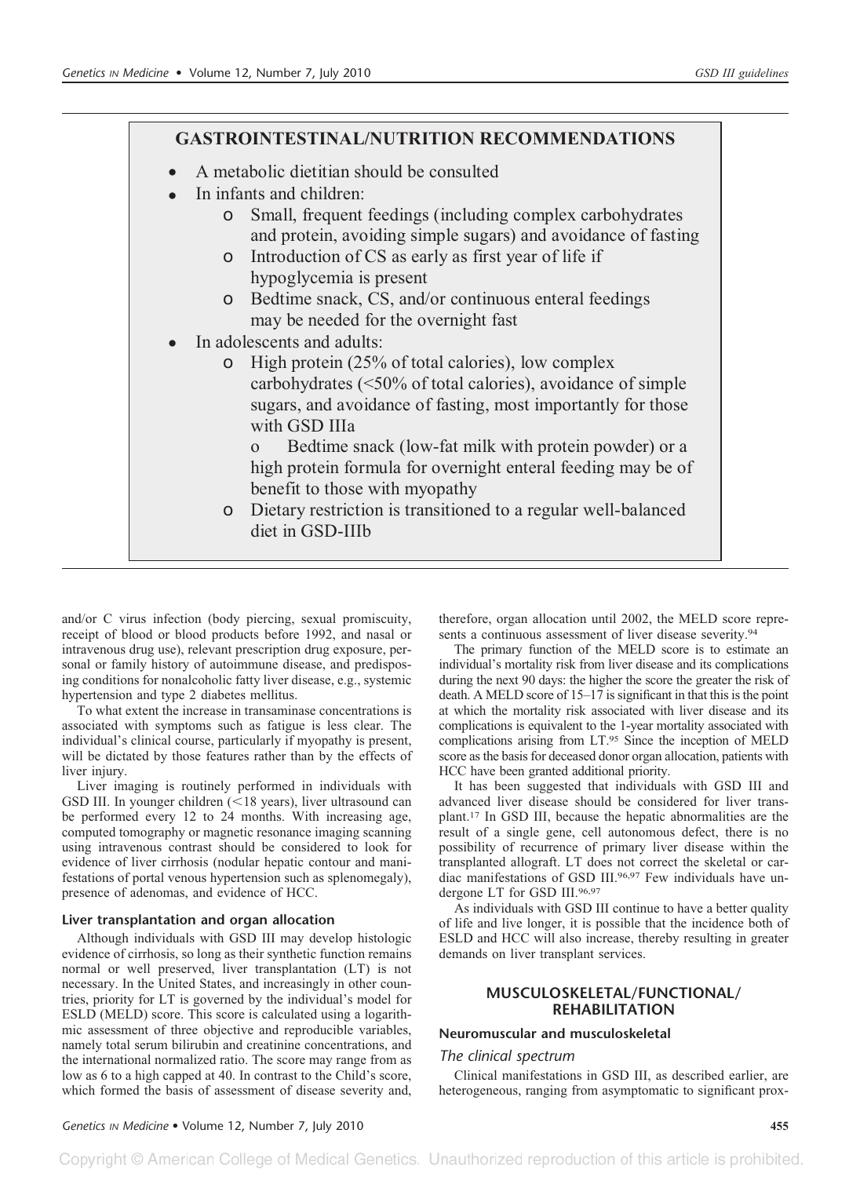

and/or C virus infection (body piercing, sexual promiscuity, receipt of blood or blood products before 1992, and nasal or intravenous drug use), relevant prescription drug exposure, personal or family history of autoimmune disease, and predisposing conditions for nonalcoholic fatty liver disease, e.g., systemic hypertension and type 2 diabetes mellitus.

To what extent the increase in transaminase concentrations is associated with symptoms such as fatigue is less clear. The individual's clinical course, particularly if myopathy is present, will be dictated by those features rather than by the effects of liver injury.

Liver imaging is routinely performed in individuals with GSD III. In younger children (<18 years), liver ultrasound can be performed every 12 to 24 months. With increasing age, computed tomography or magnetic resonance imaging scanning using intravenous contrast should be considered to look for evidence of liver cirrhosis (nodular hepatic contour and manifestations of portal venous hypertension such as splenomegaly), presence of adenomas, and evidence of HCC.

#### **Liver transplantation and organ allocation**

Although individuals with GSD III may develop histologic evidence of cirrhosis, so long as their synthetic function remains normal or well preserved, liver transplantation (LT) is not necessary. In the United States, and increasingly in other countries, priority for LT is governed by the individual's model for ESLD (MELD) score. This score is calculated using a logarithmic assessment of three objective and reproducible variables, namely total serum bilirubin and creatinine concentrations, and the international normalized ratio. The score may range from as low as 6 to a high capped at 40. In contrast to the Child's score, which formed the basis of assessment of disease severity and, therefore, organ allocation until 2002, the MELD score represents a continuous assessment of liver disease severity.<sup>94</sup>

The primary function of the MELD score is to estimate an individual's mortality risk from liver disease and its complications during the next 90 days: the higher the score the greater the risk of death. A MELD score of 15–17 is significant in that this is the point at which the mortality risk associated with liver disease and its complications is equivalent to the 1-year mortality associated with complications arising from LT.95 Since the inception of MELD score as the basis for deceased donor organ allocation, patients with HCC have been granted additional priority.

It has been suggested that individuals with GSD III and advanced liver disease should be considered for liver transplant.17 In GSD III, because the hepatic abnormalities are the result of a single gene, cell autonomous defect, there is no possibility of recurrence of primary liver disease within the transplanted allograft. LT does not correct the skeletal or cardiac manifestations of GSD III.96,97 Few individuals have undergone LT for GSD III.96,97

As individuals with GSD III continue to have a better quality of life and live longer, it is possible that the incidence both of ESLD and HCC will also increase, thereby resulting in greater demands on liver transplant services.

## **MUSCULOSKELETAL/FUNCTIONAL/ REHABILITATION**

#### **Neuromuscular and musculoskeletal**

## *The clinical spectrum*

Clinical manifestations in GSD III, as described earlier, are heterogeneous, ranging from asymptomatic to significant prox-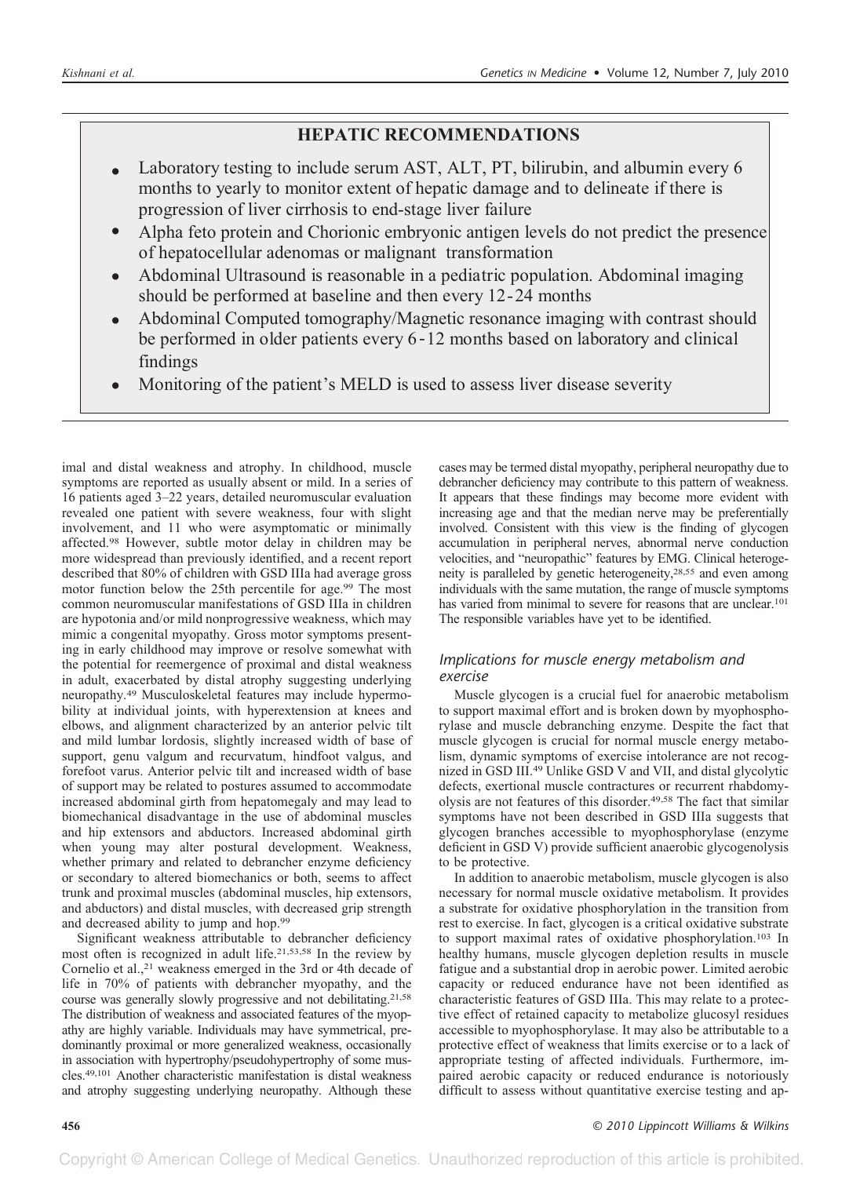# **HEPATIC RECOMMENDATIONS**

- Laboratory testing to include serum AST, ALT, PT, bilirubin, and albumin every 6 months to yearly to monitor extent of hepatic damage and to delineate if there is progression of liver cirrhosis to end-stage liver failure •
- Alpha feto protein and Chorionic embryonic antigen levels do not predict the presence of hepatocellular adenomas or malignant transformation •
- Abdominal Ultrasound is reasonable in a pediatric population. Abdominal imaging should be performed at baseline and then every 12-24 months •
- Abdominal Computed tomography/Magnetic resonance imaging with contrast should be performed in older patients every 6-12 months based on laboratory and clinical • findings
- Monitoring of the patient's MELD is used to assess liver disease severity •

imal and distal weakness and atrophy. In childhood, muscle symptoms are reported as usually absent or mild. In a series of 16 patients aged 3–22 years, detailed neuromuscular evaluation revealed one patient with severe weakness, four with slight involvement, and 11 who were asymptomatic or minimally affected.98 However, subtle motor delay in children may be more widespread than previously identified, and a recent report described that 80% of children with GSD IIIa had average gross motor function below the 25th percentile for age.99 The most common neuromuscular manifestations of GSD IIIa in children are hypotonia and/or mild nonprogressive weakness, which may mimic a congenital myopathy. Gross motor symptoms presenting in early childhood may improve or resolve somewhat with the potential for reemergence of proximal and distal weakness in adult, exacerbated by distal atrophy suggesting underlying neuropathy.49 Musculoskeletal features may include hypermobility at individual joints, with hyperextension at knees and elbows, and alignment characterized by an anterior pelvic tilt and mild lumbar lordosis, slightly increased width of base of support, genu valgum and recurvatum, hindfoot valgus, and forefoot varus. Anterior pelvic tilt and increased width of base of support may be related to postures assumed to accommodate increased abdominal girth from hepatomegaly and may lead to biomechanical disadvantage in the use of abdominal muscles and hip extensors and abductors. Increased abdominal girth when young may alter postural development. Weakness, whether primary and related to debrancher enzyme deficiency or secondary to altered biomechanics or both, seems to affect trunk and proximal muscles (abdominal muscles, hip extensors, and abductors) and distal muscles, with decreased grip strength and decreased ability to jump and hop.99

Significant weakness attributable to debrancher deficiency most often is recognized in adult life.21,53,58 In the review by Cornelio et al.,<sup>21</sup> weakness emerged in the 3rd or 4th decade of life in 70% of patients with debrancher myopathy, and the course was generally slowly progressive and not debilitating.21,58 The distribution of weakness and associated features of the myopathy are highly variable. Individuals may have symmetrical, predominantly proximal or more generalized weakness, occasionally in association with hypertrophy/pseudohypertrophy of some muscles.49,101 Another characteristic manifestation is distal weakness and atrophy suggesting underlying neuropathy. Although these

cases may be termed distal myopathy, peripheral neuropathy due to debrancher deficiency may contribute to this pattern of weakness. It appears that these findings may become more evident with increasing age and that the median nerve may be preferentially involved. Consistent with this view is the finding of glycogen accumulation in peripheral nerves, abnormal nerve conduction velocities, and "neuropathic" features by EMG. Clinical heterogeneity is paralleled by genetic heterogeneity,28,55 and even among individuals with the same mutation, the range of muscle symptoms has varied from minimal to severe for reasons that are unclear.<sup>101</sup> The responsible variables have yet to be identified.

## *Implications for muscle energy metabolism and exercise*

Muscle glycogen is a crucial fuel for anaerobic metabolism to support maximal effort and is broken down by myophosphorylase and muscle debranching enzyme. Despite the fact that muscle glycogen is crucial for normal muscle energy metabolism, dynamic symptoms of exercise intolerance are not recognized in GSD III.49 Unlike GSD V and VII, and distal glycolytic defects, exertional muscle contractures or recurrent rhabdomyolysis are not features of this disorder.<sup>49,58</sup> The fact that similar symptoms have not been described in GSD IIIa suggests that glycogen branches accessible to myophosphorylase (enzyme deficient in GSD V) provide sufficient anaerobic glycogenolysis to be protective.

In addition to anaerobic metabolism, muscle glycogen is also necessary for normal muscle oxidative metabolism. It provides a substrate for oxidative phosphorylation in the transition from rest to exercise. In fact, glycogen is a critical oxidative substrate to support maximal rates of oxidative phosphorylation.103 In healthy humans, muscle glycogen depletion results in muscle fatigue and a substantial drop in aerobic power. Limited aerobic capacity or reduced endurance have not been identified as characteristic features of GSD IIIa. This may relate to a protective effect of retained capacity to metabolize glucosyl residues accessible to myophosphorylase. It may also be attributable to a protective effect of weakness that limits exercise or to a lack of appropriate testing of affected individuals. Furthermore, impaired aerobic capacity or reduced endurance is notoriously difficult to assess without quantitative exercise testing and ap-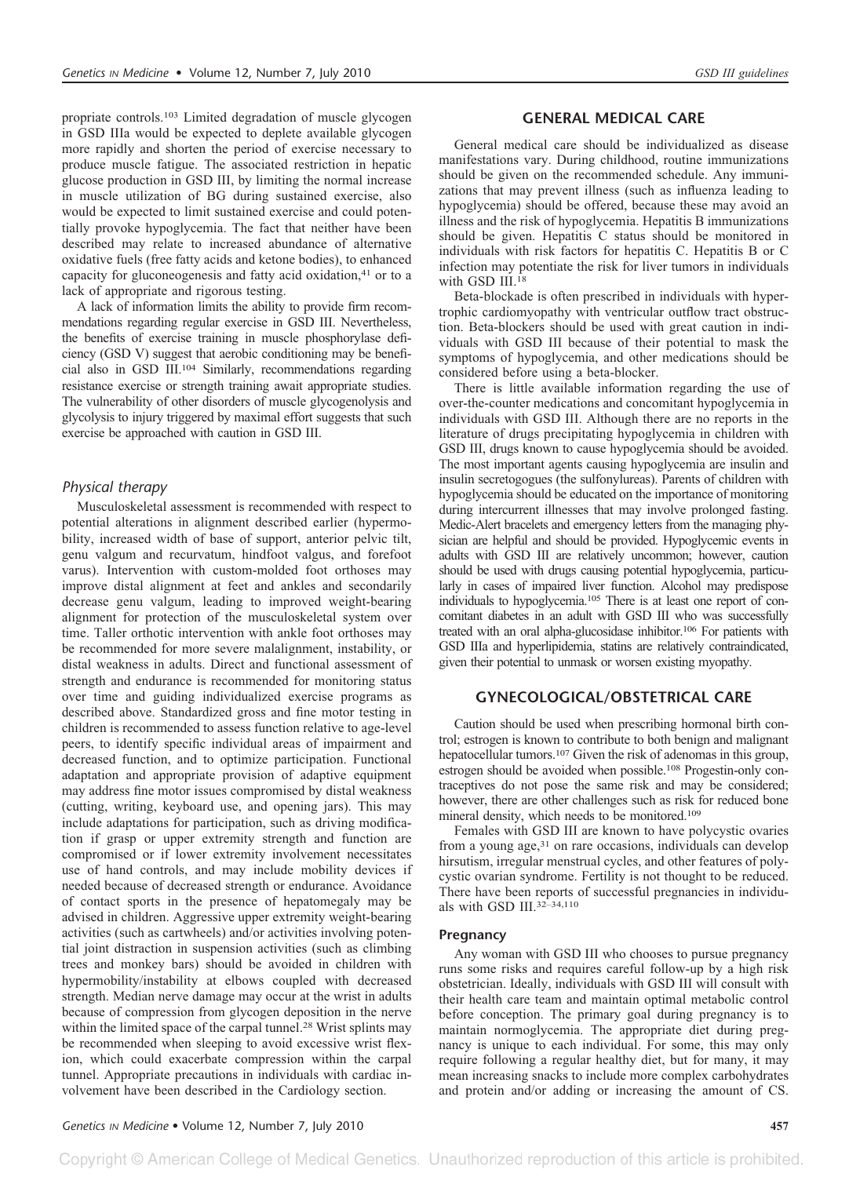propriate controls.103 Limited degradation of muscle glycogen in GSD IIIa would be expected to deplete available glycogen more rapidly and shorten the period of exercise necessary to produce muscle fatigue. The associated restriction in hepatic glucose production in GSD III, by limiting the normal increase in muscle utilization of BG during sustained exercise, also would be expected to limit sustained exercise and could potentially provoke hypoglycemia. The fact that neither have been described may relate to increased abundance of alternative oxidative fuels (free fatty acids and ketone bodies), to enhanced capacity for gluconeogenesis and fatty acid oxidation,41 or to a lack of appropriate and rigorous testing.

A lack of information limits the ability to provide firm recommendations regarding regular exercise in GSD III. Nevertheless, the benefits of exercise training in muscle phosphorylase deficiency (GSD V) suggest that aerobic conditioning may be beneficial also in GSD III.104 Similarly, recommendations regarding resistance exercise or strength training await appropriate studies. The vulnerability of other disorders of muscle glycogenolysis and glycolysis to injury triggered by maximal effort suggests that such exercise be approached with caution in GSD III.

## *Physical therapy*

Musculoskeletal assessment is recommended with respect to potential alterations in alignment described earlier (hypermobility, increased width of base of support, anterior pelvic tilt, genu valgum and recurvatum, hindfoot valgus, and forefoot varus). Intervention with custom-molded foot orthoses may improve distal alignment at feet and ankles and secondarily decrease genu valgum, leading to improved weight-bearing alignment for protection of the musculoskeletal system over time. Taller orthotic intervention with ankle foot orthoses may be recommended for more severe malalignment, instability, or distal weakness in adults. Direct and functional assessment of strength and endurance is recommended for monitoring status over time and guiding individualized exercise programs as described above. Standardized gross and fine motor testing in children is recommended to assess function relative to age-level peers, to identify specific individual areas of impairment and decreased function, and to optimize participation. Functional adaptation and appropriate provision of adaptive equipment may address fine motor issues compromised by distal weakness (cutting, writing, keyboard use, and opening jars). This may include adaptations for participation, such as driving modification if grasp or upper extremity strength and function are compromised or if lower extremity involvement necessitates use of hand controls, and may include mobility devices if needed because of decreased strength or endurance. Avoidance of contact sports in the presence of hepatomegaly may be advised in children. Aggressive upper extremity weight-bearing activities (such as cartwheels) and/or activities involving potential joint distraction in suspension activities (such as climbing trees and monkey bars) should be avoided in children with hypermobility/instability at elbows coupled with decreased strength. Median nerve damage may occur at the wrist in adults because of compression from glycogen deposition in the nerve within the limited space of the carpal tunnel.<sup>28</sup> Wrist splints may be recommended when sleeping to avoid excessive wrist flexion, which could exacerbate compression within the carpal tunnel. Appropriate precautions in individuals with cardiac involvement have been described in the Cardiology section.

### **GENERAL MEDICAL CARE**

General medical care should be individualized as disease manifestations vary. During childhood, routine immunizations should be given on the recommended schedule. Any immunizations that may prevent illness (such as influenza leading to hypoglycemia) should be offered, because these may avoid an illness and the risk of hypoglycemia. Hepatitis B immunizations should be given. Hepatitis C status should be monitored in individuals with risk factors for hepatitis C. Hepatitis B or C infection may potentiate the risk for liver tumors in individuals with GSD III.18

Beta-blockade is often prescribed in individuals with hypertrophic cardiomyopathy with ventricular outflow tract obstruction. Beta-blockers should be used with great caution in individuals with GSD III because of their potential to mask the symptoms of hypoglycemia, and other medications should be considered before using a beta-blocker.

There is little available information regarding the use of over-the-counter medications and concomitant hypoglycemia in individuals with GSD III. Although there are no reports in the literature of drugs precipitating hypoglycemia in children with GSD III, drugs known to cause hypoglycemia should be avoided. The most important agents causing hypoglycemia are insulin and insulin secretogogues (the sulfonylureas). Parents of children with hypoglycemia should be educated on the importance of monitoring during intercurrent illnesses that may involve prolonged fasting. Medic-Alert bracelets and emergency letters from the managing physician are helpful and should be provided. Hypoglycemic events in adults with GSD III are relatively uncommon; however, caution should be used with drugs causing potential hypoglycemia, particularly in cases of impaired liver function. Alcohol may predispose individuals to hypoglycemia.105 There is at least one report of concomitant diabetes in an adult with GSD III who was successfully treated with an oral alpha-glucosidase inhibitor.106 For patients with GSD IIIa and hyperlipidemia, statins are relatively contraindicated, given their potential to unmask or worsen existing myopathy.

## **GYNECOLOGICAL/OBSTETRICAL CARE**

Caution should be used when prescribing hormonal birth control; estrogen is known to contribute to both benign and malignant hepatocellular tumors.<sup>107</sup> Given the risk of adenomas in this group, estrogen should be avoided when possible.108 Progestin-only contraceptives do not pose the same risk and may be considered; however, there are other challenges such as risk for reduced bone mineral density, which needs to be monitored.109

Females with GSD III are known to have polycystic ovaries from a young age,<sup>31</sup> on rare occasions, individuals can develop hirsutism, irregular menstrual cycles, and other features of polycystic ovarian syndrome. Fertility is not thought to be reduced. There have been reports of successful pregnancies in individuals with GSD III.32–34,110

#### **Pregnancy**

Any woman with GSD III who chooses to pursue pregnancy runs some risks and requires careful follow-up by a high risk obstetrician. Ideally, individuals with GSD III will consult with their health care team and maintain optimal metabolic control before conception. The primary goal during pregnancy is to maintain normoglycemia. The appropriate diet during pregnancy is unique to each individual. For some, this may only require following a regular healthy diet, but for many, it may mean increasing snacks to include more complex carbohydrates and protein and/or adding or increasing the amount of CS.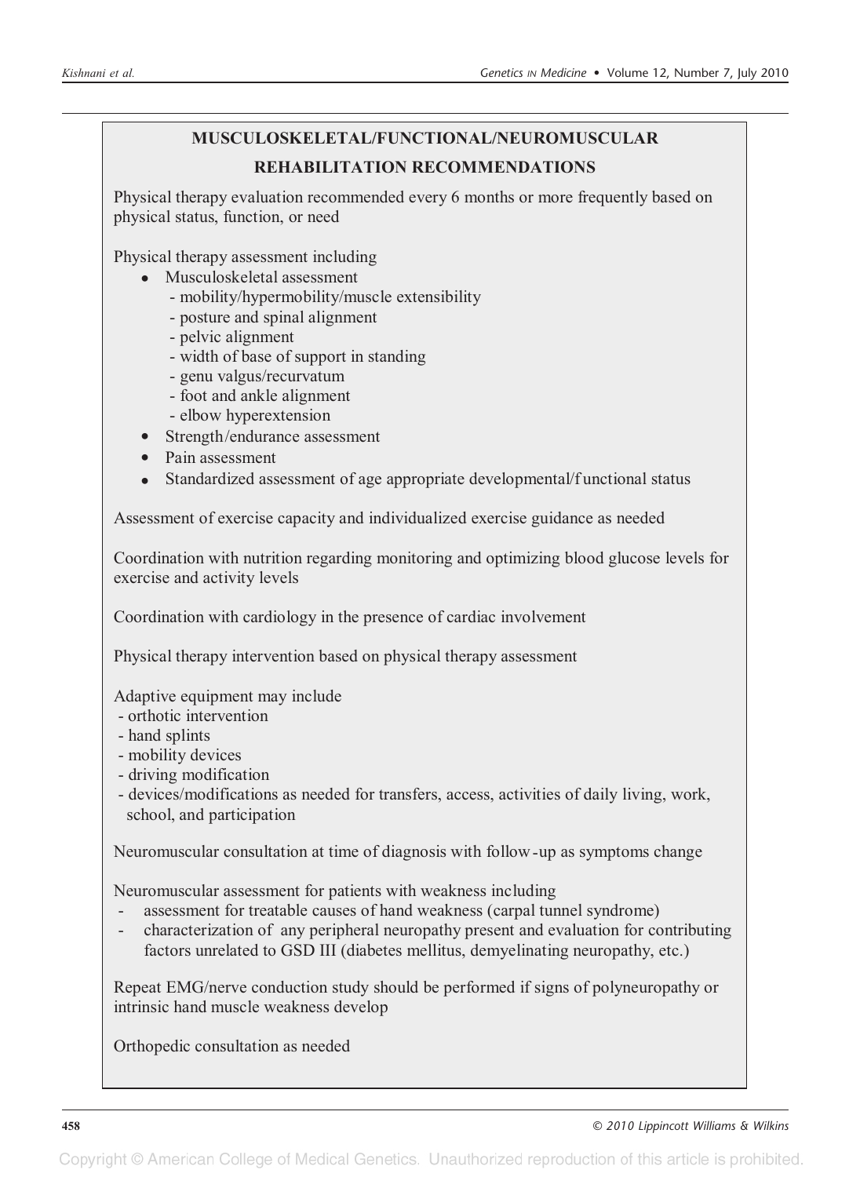# **MUSCULOSKELETAL/FUNCTIONAL/NEUROMUSCULAR**

# **REHABILITATION RECOMMENDATIONS**

Physical therapy evaluation recommended every 6 months or more frequently based on physical status, function, or need

Physical therapy assessment including

- Musculoskeletal assessment •
	- mobility/hypermobility/muscle extensibility
	- posture and spinal alignment
	- pelvic alignment
	- width of base of support in standing
	- genu valgus/recurvatum
	- foot and ankle alignment
	- elbow hyperextension
- Strength/endurance assessment
- Pain assessment
- Standardized assessment of age appropriate developmental/f unctional status •

Assessment of exercise capacity and individualized exercise guidance as needed

Coordination with nutrition regarding monitoring and optimizing blood glucose levels for exercise and activity levels

Coordination with cardiology in the presence of cardiac involvement

Physical therapy intervention based on physical therapy assessment

Adaptive equipment may include

- orthotic intervention
- hand splints
- mobility devices
- driving modification
- devices/modifications as needed for transfers, access, activities of daily living, work, school, and participation

Neuromuscular consultation at time of diagnosis with follow-up as symptoms change

Neuromuscular assessment for patients with weakness including

- assessment for treatable causes of hand weakness (carpal tunnel syndrome)
- characterization of any peripheral neuropathy present and evaluation for contributing factors unrelated to GSD III (diabetes mellitus, demyelinating neuropathy, etc.)

Repeat EMG/nerve conduction study should be performed if signs of polyneuropathy or intrinsic hand muscle weakness develop

Orthopedic consultation as needed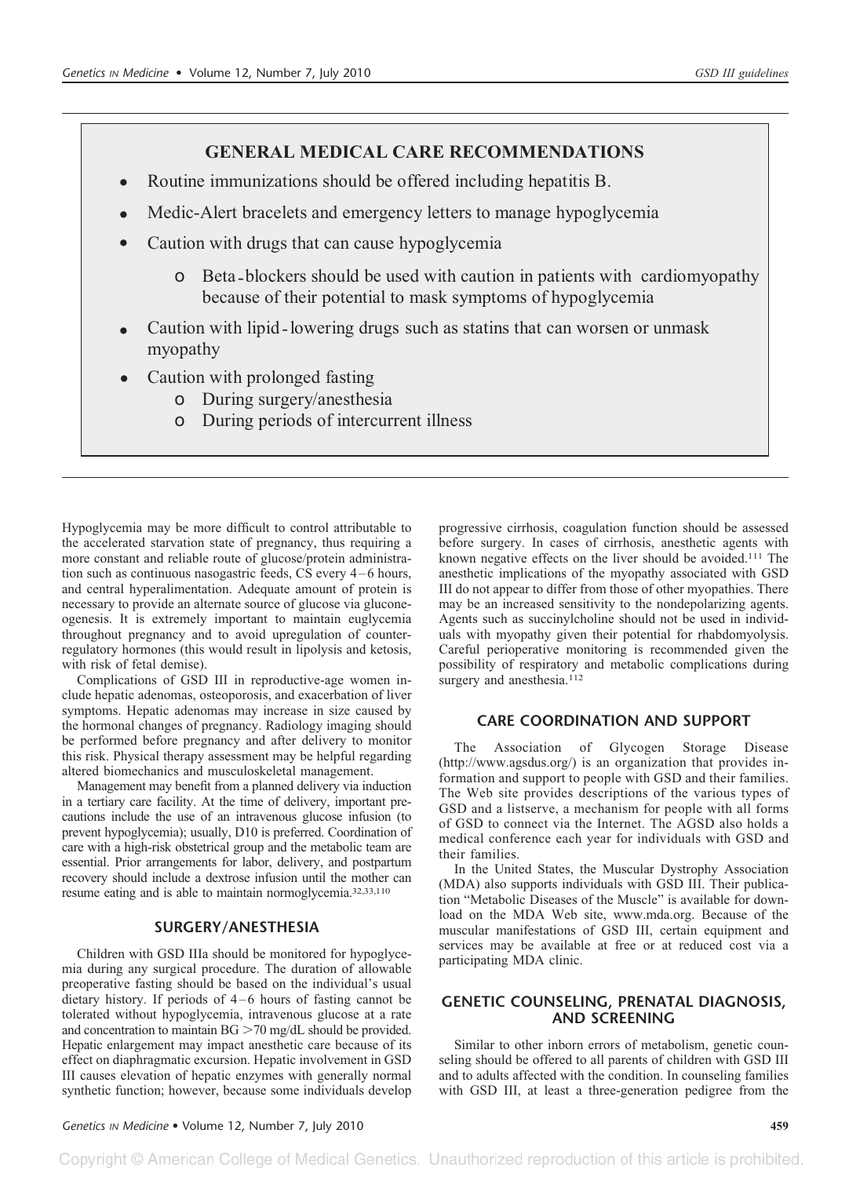## **GENERAL MEDICAL CARE RECOMMENDATIONS**

- Routine immunizations should be offered including hepatitis B. •
- Medic- Alert bracelets and emergency letters to manage hypoglycemia •
- Caution with drugs that can cause hypoglycemia •
	- o Beta blockers should be used with caution in patients with cardiomyopathy because of their potential to mask symptoms of hypoglycemia
- Caution with lipid-lowering drugs such as statins that can worsen or unmask myopathy •
- Caution with prolonged fasting •
	- o During surgery/anesthesia
	- o During periods of intercurrent illness

Hypoglycemia may be more difficult to control attributable to the accelerated starvation state of pregnancy, thus requiring a more constant and reliable route of glucose/protein administration such as continuous nasogastric feeds, CS every 4-6 hours, and central hyperalimentation. Adequate amount of protein is necessary to provide an alternate source of glucose via gluconeogenesis. It is extremely important to maintain euglycemia throughout pregnancy and to avoid upregulation of counterregulatory hormones (this would result in lipolysis and ketosis, with risk of fetal demise).

Complications of GSD III in reproductive-age women include hepatic adenomas, osteoporosis, and exacerbation of liver symptoms. Hepatic adenomas may increase in size caused by the hormonal changes of pregnancy. Radiology imaging should be performed before pregnancy and after delivery to monitor this risk. Physical therapy assessment may be helpful regarding altered biomechanics and musculoskeletal management.

Management may benefit from a planned delivery via induction in a tertiary care facility. At the time of delivery, important precautions include the use of an intravenous glucose infusion (to prevent hypoglycemia); usually, D10 is preferred. Coordination of care with a high-risk obstetrical group and the metabolic team are essential. Prior arrangements for labor, delivery, and postpartum recovery should include a dextrose infusion until the mother can resume eating and is able to maintain normoglycemia.<sup>32,33,110</sup>

## **SURGERY/ANESTHESIA**

Children with GSD IIIa should be monitored for hypoglycemia during any surgical procedure. The duration of allowable preoperative fasting should be based on the individual's usual dietary history. If periods of  $4-6$  hours of fasting cannot be tolerated without hypoglycemia, intravenous glucose at a rate and concentration to maintain  $BG > 70$  mg/dL should be provided. Hepatic enlargement may impact anesthetic care because of its effect on diaphragmatic excursion. Hepatic involvement in GSD III causes elevation of hepatic enzymes with generally normal synthetic function; however, because some individuals develop

progressive cirrhosis, coagulation function should be assessed before surgery. In cases of cirrhosis, anesthetic agents with known negative effects on the liver should be avoided.111 The anesthetic implications of the myopathy associated with GSD III do not appear to differ from those of other myopathies. There may be an increased sensitivity to the nondepolarizing agents. Agents such as succinylcholine should not be used in individuals with myopathy given their potential for rhabdomyolysis. Careful perioperative monitoring is recommended given the possibility of respiratory and metabolic complications during surgery and anesthesia.<sup>112</sup>

## **CARE COORDINATION AND SUPPORT**

The Association of Glycogen Storage Disease (http://www.agsdus.org/) is an organization that provides information and support to people with GSD and their families. The Web site provides descriptions of the various types of GSD and a listserve, a mechanism for people with all forms of GSD to connect via the Internet. The AGSD also holds a medical conference each year for individuals with GSD and their families.

In the United States, the Muscular Dystrophy Association (MDA) also supports individuals with GSD III. Their publication "Metabolic Diseases of the Muscle" is available for download on the MDA Web site, www.mda.org. Because of the muscular manifestations of GSD III, certain equipment and services may be available at free or at reduced cost via a participating MDA clinic.

## **GENETIC COUNSELING, PRENATAL DIAGNOSIS, AND SCREENING**

Similar to other inborn errors of metabolism, genetic counseling should be offered to all parents of children with GSD III and to adults affected with the condition. In counseling families with GSD III, at least a three-generation pedigree from the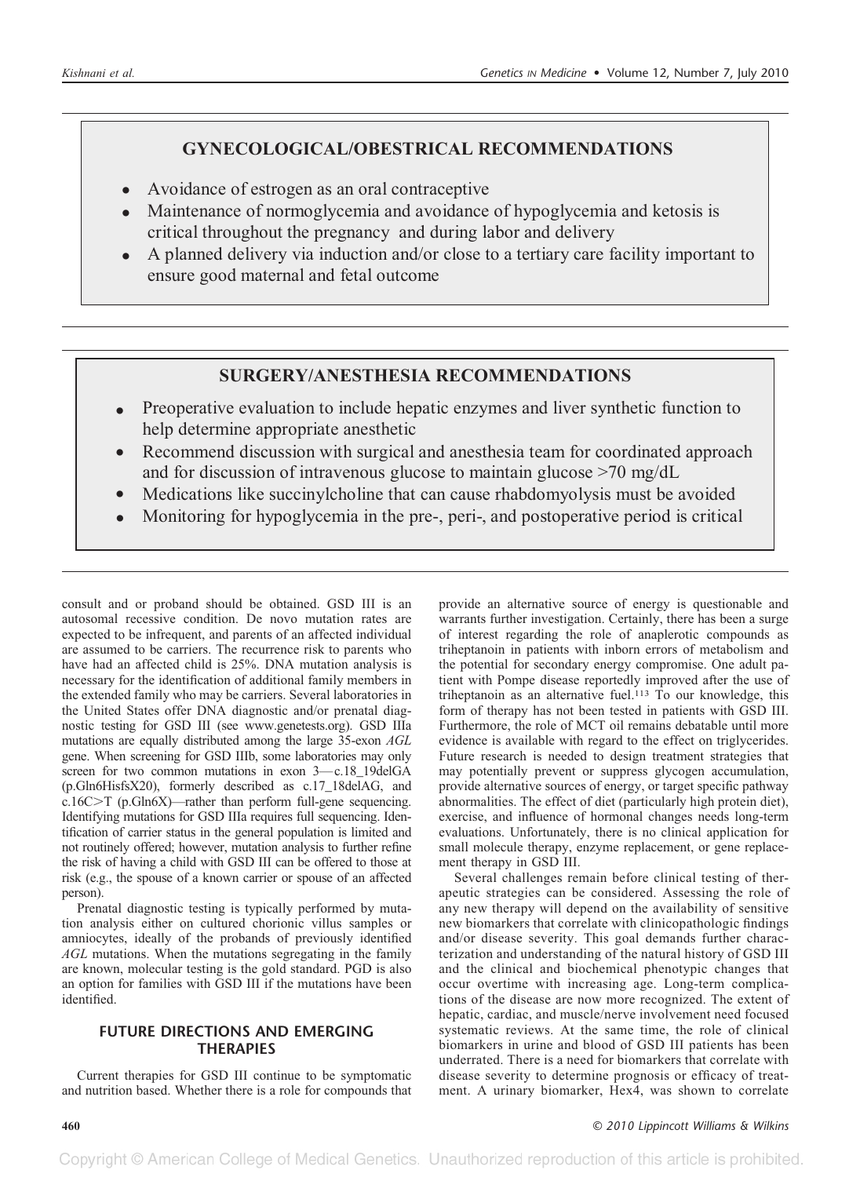# **GYNECOLOGICAL/OBESTRICAL RECOMMENDATIONS**

- Avoidance of estrogen as an oral contraceptive •
- Maintenance of normoglycemia and avoidance of hypoglycemia and ketosis is critical throughout the pregnancy and during labor and delivery •
- A planned delivery via induction and/or close to a tertiary care facility important to ensure good maternal and fetal outcome •

# **SURGERY/ANESTHESIA RECOMMENDATIONS**

- Preoperative evaluation to include hepatic enzymes and liver synthetic function to help determine appropriate anesthetic •
- Recommend discussion with surgical and anesthesia team for coordinated approach and for discussion of intravenous glucose to maintain glucose >70 mg/dL •
- Medications like succinylcholine that can cause rhabdomyolysis must be avoided •
- Monitoring for hypoglycemia in the pre-, peri-, and postoperative period is critical •

consult and or proband should be obtained. GSD III is an autosomal recessive condition. De novo mutation rates are expected to be infrequent, and parents of an affected individual are assumed to be carriers. The recurrence risk to parents who have had an affected child is 25%. DNA mutation analysis is necessary for the identification of additional family members in the extended family who may be carriers. Several laboratories in the United States offer DNA diagnostic and/or prenatal diagnostic testing for GSD III (see www.genetests.org). GSD IIIa mutations are equally distributed among the large 35-exon *AGL* gene. When screening for GSD IIIb, some laboratories may only screen for two common mutations in exon 3—c.18\_19delGA (p.Gln6HisfsX20), formerly described as c.17\_18delAG, and c.16C>T (p.Gln6X)—rather than perform full-gene sequencing. Identifying mutations for GSD IIIa requires full sequencing. Identification of carrier status in the general population is limited and not routinely offered; however, mutation analysis to further refine the risk of having a child with GSD III can be offered to those at risk (e.g., the spouse of a known carrier or spouse of an affected person).

Prenatal diagnostic testing is typically performed by mutation analysis either on cultured chorionic villus samples or amniocytes, ideally of the probands of previously identified *AGL* mutations. When the mutations segregating in the family are known, molecular testing is the gold standard. PGD is also an option for families with GSD III if the mutations have been identified.

## **FUTURE DIRECTIONS AND EMERGING THERAPIES**

Current therapies for GSD III continue to be symptomatic and nutrition based. Whether there is a role for compounds that

provide an alternative source of energy is questionable and warrants further investigation. Certainly, there has been a surge of interest regarding the role of anaplerotic compounds as triheptanoin in patients with inborn errors of metabolism and the potential for secondary energy compromise. One adult patient with Pompe disease reportedly improved after the use of triheptanoin as an alternative fuel.113 To our knowledge, this form of therapy has not been tested in patients with GSD III. Furthermore, the role of MCT oil remains debatable until more evidence is available with regard to the effect on triglycerides. Future research is needed to design treatment strategies that may potentially prevent or suppress glycogen accumulation, provide alternative sources of energy, or target specific pathway abnormalities. The effect of diet (particularly high protein diet), exercise, and influence of hormonal changes needs long-term evaluations. Unfortunately, there is no clinical application for small molecule therapy, enzyme replacement, or gene replacement therapy in GSD III.

Several challenges remain before clinical testing of therapeutic strategies can be considered. Assessing the role of any new therapy will depend on the availability of sensitive new biomarkers that correlate with clinicopathologic findings and/or disease severity. This goal demands further characterization and understanding of the natural history of GSD III and the clinical and biochemical phenotypic changes that occur overtime with increasing age. Long-term complications of the disease are now more recognized. The extent of hepatic, cardiac, and muscle/nerve involvement need focused systematic reviews. At the same time, the role of clinical biomarkers in urine and blood of GSD III patients has been underrated. There is a need for biomarkers that correlate with disease severity to determine prognosis or efficacy of treatment. A urinary biomarker, Hex4, was shown to correlate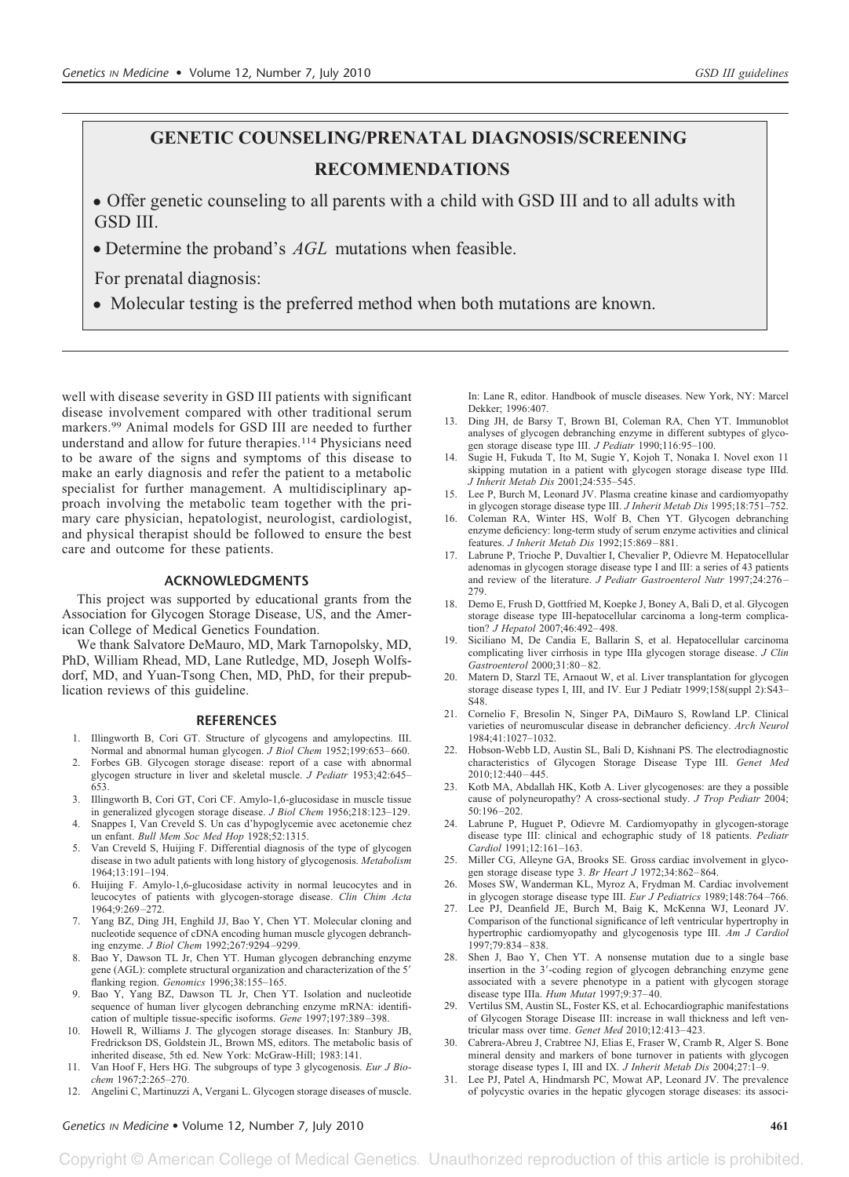# **GENETIC COUNSELING/PRENATAL DIAGNOSIS/SCREENING RECOMMENDATIONS**

- Offer genetic counseling to all parents with a child with GSD III and to all adults with GSD III.
- Determine the proband's *AGL* mutations when feasible.

For prenatal diagnosis:

• Molecular testing is the preferred method when both mutations are known.

well with disease severity in GSD III patients with significant disease involvement compared with other traditional serum markers.99 Animal models for GSD III are needed to further understand and allow for future therapies.114 Physicians need to be aware of the signs and symptoms of this disease to make an early diagnosis and refer the patient to a metabolic specialist for further management. A multidisciplinary approach involving the metabolic team together with the primary care physician, hepatologist, neurologist, cardiologist, and physical therapist should be followed to ensure the best care and outcome for these patients.

## **ACKNOWLEDGMENTS**

This project was supported by educational grants from the Association for Glycogen Storage Disease, US, and the American College of Medical Genetics Foundation.

We thank Salvatore DeMauro, MD, Mark Tarnopolsky, MD, PhD, William Rhead, MD, Lane Rutledge, MD, Joseph Wolfsdorf, MD, and Yuan-Tsong Chen, MD, PhD, for their prepublication reviews of this guideline.

#### **REFERENCES**

- 1. Illingworth B, Cori GT. Structure of glycogens and amylopectins. III. Normal and abnormal human glycogen. *J Biol Chem* 1952;199:653– 660.
- 2. Forbes GB. Glycogen storage disease: report of a case with abnormal glycogen structure in liver and skeletal muscle. *J Pediatr* 1953;42:645– 653.
- 3. Illingworth B, Cori GT, Cori CF. Amylo-1,6-glucosidase in muscle tissue in generalized glycogen storage disease. *J Biol Chem* 1956;218:123–129.
- 4. Snappes I, Van Creveld S. Un cas d'hypoglycemie avec acetonemie chez un enfant. *Bull Mem Soc Med Hop* 1928;52:1315.
- 5. Van Creveld S, Huijing F. Differential diagnosis of the type of glycogen disease in two adult patients with long history of glycogenosis. *Metabolism* 1964;13:191–194.
- 6. Huijing F. Amylo-1,6-glucosidase activity in normal leucocytes and in leucocytes of patients with glycogen-storage disease. *Clin Chim Acta* 1964;9:269 –272.
- 7. Yang BZ, Ding JH, Enghild JJ, Bao Y, Chen YT. Molecular cloning and nucleotide sequence of cDNA encoding human muscle glycogen debranching enzyme. *J Biol Chem* 1992;267:9294 –9299.
- 8. Bao Y, Dawson TL Jr, Chen YT. Human glycogen debranching enzyme gene (AGL): complete structural organization and characterization of the 5 flanking region. *Genomics* 1996;38:155–165.
- 9. Bao Y, Yang BZ, Dawson TL Jr, Chen YT. Isolation and nucleotide sequence of human liver glycogen debranching enzyme mRNA: identification of multiple tissue-specific isoforms. *Gene* 1997;197:389 –398.
- 10. Howell R, Williams J. The glycogen storage diseases. In: Stanbury JB, Fredrickson DS, Goldstein JL, Brown MS, editors. The metabolic basis of inherited disease, 5th ed. New York: McGraw-Hill; 1983:141.
- 11. Van Hoof F, Hers HG. The subgroups of type 3 glycogenosis. *Eur J Biochem* 1967;2:265–270.
- 12. Angelini C, Martinuzzi A, Vergani L. Glycogen storage diseases of muscle.

In: Lane R, editor. Handbook of muscle diseases. New York, NY: Marcel Dekker; 1996:407.

- 13. Ding JH, de Barsy T, Brown BI, Coleman RA, Chen YT. Immunoblot analyses of glycogen debranching enzyme in different subtypes of glycogen storage disease type III. *J Pediatr* 1990;116:95–100.
- 14. Sugie H, Fukuda T, Ito M, Sugie Y, Kojoh T, Nonaka I. Novel exon 11 skipping mutation in a patient with glycogen storage disease type IIId. *J Inherit Metab Dis* 2001;24:535–545.
- 15. Lee P, Burch M, Leonard JV. Plasma creatine kinase and cardiomyopathy in glycogen storage disease type III. *J Inherit Metab Dis* 1995;18:751–752.
- 16. Coleman RA, Winter HS, Wolf B, Chen YT. Glycogen debranching enzyme deficiency: long-term study of serum enzyme activities and clinical features. *J Inherit Metab Dis* 1992;15:869 – 881.
- 17. Labrune P, Trioche P, Duvaltier I, Chevalier P, Odievre M. Hepatocellular adenomas in glycogen storage disease type I and III: a series of 43 patients and review of the literature. *J Pediatr Gastroenterol Nutr* 1997;24:276 – 279.
- 18. Demo E, Frush D, Gottfried M, Koepke J, Boney A, Bali D, et al. Glycogen storage disease type III-hepatocellular carcinoma a long-term complication? *J Hepatol* 2007;46:492– 498.
- 19. Siciliano M, De Candia E, Ballarin S, et al. Hepatocellular carcinoma complicating liver cirrhosis in type IIIa glycogen storage disease. *J Clin* Gastroenterol 2000:31:80-82.
- 20. Matern D, Starzl TE, Arnaout W, et al. Liver transplantation for glycogen storage disease types I, III, and IV. Eur J Pediatr 1999;158(suppl 2):S43– S48.
- 21. Cornelio F, Bresolin N, Singer PA, DiMauro S, Rowland LP. Clinical varieties of neuromuscular disease in debrancher deficiency. *Arch Neurol* 1984;41:1027–1032.
- 22. Hobson-Webb LD, Austin SL, Bali D, Kishnani PS. The electrodiagnostic characteristics of Glycogen Storage Disease Type III. *Genet Med*  $2010 \cdot 12 \cdot 440 - 445$
- 23. Kotb MA, Abdallah HK, Kotb A. Liver glycogenoses: are they a possible cause of polyneuropathy? A cross-sectional study. *J Trop Pediatr* 2004; 50:196 –202.
- 24. Labrune P, Huguet P, Odievre M. Cardiomyopathy in glycogen-storage disease type III: clinical and echographic study of 18 patients. *Pediatr Cardiol* 1991;12:161–163.
- 25. Miller CG, Alleyne GA, Brooks SE. Gross cardiac involvement in glycogen storage disease type 3. *Br Heart J* 1972;34:862– 864.
- 26. Moses SW, Wanderman KL, Myroz A, Frydman M. Cardiac involvement in glycogen storage disease type III. *Eur J Pediatrics* 1989;148:764 –766.
- 27. Lee PJ, Deanfield JE, Burch M, Baig K, McKenna WJ, Leonard JV. Comparison of the functional significance of left ventricular hypertrophy in hypertrophic cardiomyopathy and glycogenosis type III. *Am J Cardiol* 1997;79:834 – 838.
- 28. Shen J, Bao Y, Chen YT. A nonsense mutation due to a single base insertion in the 3'-coding region of glycogen debranching enzyme gene associated with a severe phenotype in a patient with glycogen storage disease type IIIa. *Hum Mutat* 1997;9:37– 40.
- 29. Vertilus SM, Austin SL, Foster KS, et al. Echocardiographic manifestations of Glycogen Storage Disease III: increase in wall thickness and left ventricular mass over time. *Genet Med* 2010;12:413– 423.
- 30. Cabrera-Abreu J, Crabtree NJ, Elias E, Fraser W, Cramb R, Alger S. Bone mineral density and markers of bone turnover in patients with glycogen storage disease types I, III and IX. *J Inherit Metab Dis* 2004;27:1–9.
- 31. Lee PJ, Patel A, Hindmarsh PC, Mowat AP, Leonard JV. The prevalence of polycystic ovaries in the hepatic glycogen storage diseases: its associ-

#### *Genetics IN Medicine* • Volume 12, Number 7, July 2010 **461**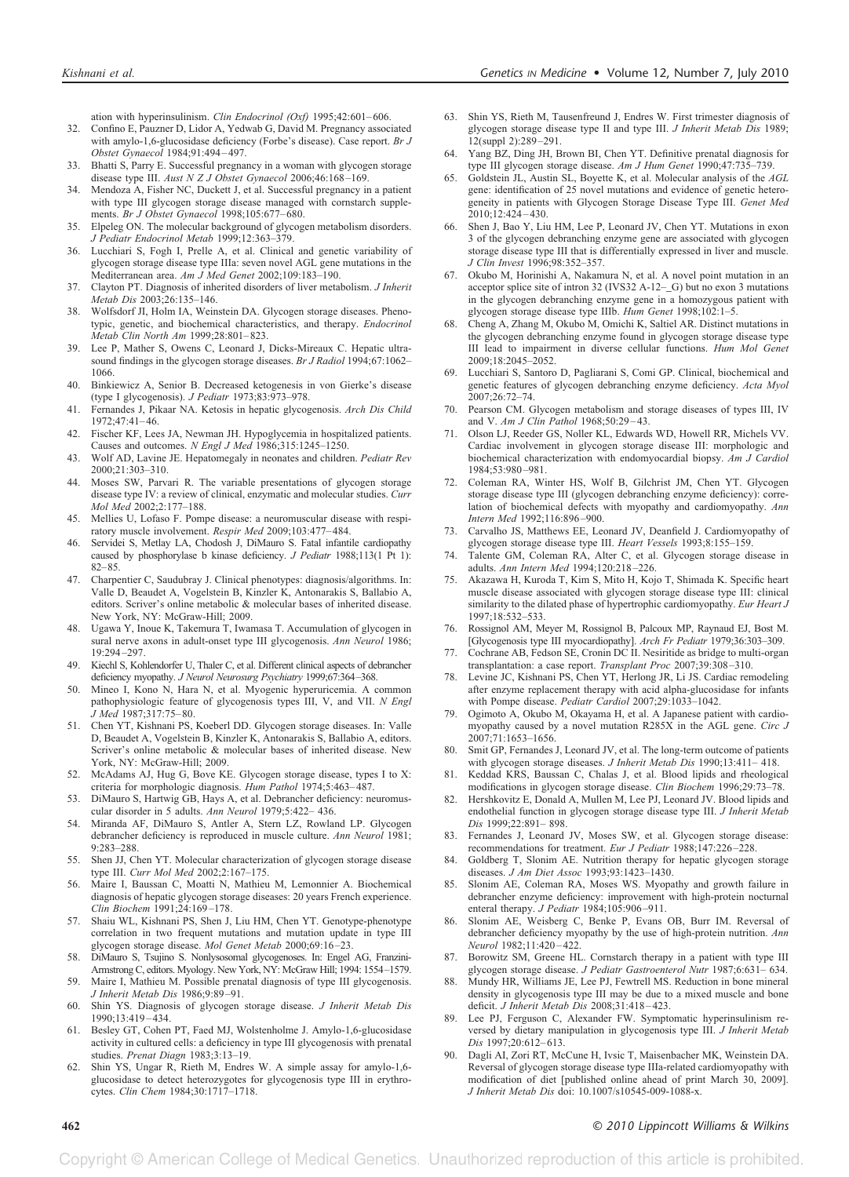ation with hyperinsulinism. *Clin Endocrinol* (Oxf) 1995;42:601-606.

- 32. Confino E, Pauzner D, Lidor A, Yedwab G, David M. Pregnancy associated with amylo-1,6-glucosidase deficiency (Forbe's disease). Case report. *Br J Obstet Gynaecol* 1984;91:494 – 497.
- 33. Bhatti S, Parry E. Successful pregnancy in a woman with glycogen storage disease type III. *Aust N Z J Obstet Gynaecol* 2006;46:168 –169.
- 34. Mendoza A, Fisher NC, Duckett J, et al. Successful pregnancy in a patient with type III glycogen storage disease managed with cornstarch supplements. *Br J Obstet Gynaecol* 1998;105:677– 680.
- Elpeleg ON. The molecular background of glycogen metabolism disorders. *J Pediatr Endocrinol Metab* 1999;12:363–379.
- Lucchiari S, Fogh I, Prelle A, et al. Clinical and genetic variability of glycogen storage disease type IIIa: seven novel AGL gene mutations in the Mediterranean area. *Am J Med Genet* 2002;109:183–190.
- 37. Clayton PT. Diagnosis of inherited disorders of liver metabolism. *J Inherit Metab Dis* 2003;26:135–146.
- 38. Wolfsdorf JI, Holm IA, Weinstein DA. Glycogen storage diseases. Phenotypic, genetic, and biochemical characteristics, and therapy. *Endocrinol Metab Clin North Am* 1999;28:801– 823.
- 39. Lee P, Mather S, Owens C, Leonard J, Dicks-Mireaux C. Hepatic ultrasound findings in the glycogen storage diseases. *Br J Radiol* 1994;67:1062– 1066.
- 40. Binkiewicz A, Senior B. Decreased ketogenesis in von Gierke's disease (type I glycogenosis). *J Pediatr* 1973;83:973–978.
- 41. Fernandes J, Pikaar NA. Ketosis in hepatic glycogenosis. *Arch Dis Child* 1972;47:41– 46.
- 42. Fischer KF, Lees JA, Newman JH. Hypoglycemia in hospitalized patients. Causes and outcomes. *N Engl J Med* 1986;315:1245–1250.
- 43. Wolf AD, Lavine JE. Hepatomegaly in neonates and children. *Pediatr Rev* 2000;21:303–310.
- Moses SW, Parvari R. The variable presentations of glycogen storage disease type IV: a review of clinical, enzymatic and molecular studies. *Curr Mol Med* 2002;2:177–188.
- 45. Mellies U, Lofaso F. Pompe disease: a neuromuscular disease with respiratory muscle involvement. *Respir Med* 2009;103:477– 484.
- 46. Servidei S, Metlay LA, Chodosh J, DiMauro S. Fatal infantile cardiopathy caused by phosphorylase b kinase deficiency. *J Pediatr* 1988;113(1 Pt 1): 82– 85.
- 47. Charpentier C, Saudubray J. Clinical phenotypes: diagnosis/algorithms. In: Valle D, Beaudet A, Vogelstein B, Kinzler K, Antonarakis S, Ballabio A, editors. Scriver's online metabolic & molecular bases of inherited disease. New York, NY: McGraw-Hill; 2009.
- 48. Ugawa Y, Inoue K, Takemura T, Iwamasa T. Accumulation of glycogen in sural nerve axons in adult-onset type III glycogenosis. *Ann Neurol* 1986; 19:294 –297.
- 49. Kiechl S, Kohlendorfer U, Thaler C, et al. Different clinical aspects of debrancher deficiency myopathy. *J Neurol Neurosurg Psychiatry* 1999;67:364–368.
- 50. Mineo I, Kono N, Hara N, et al. Myogenic hyperuricemia. A common pathophysiologic feature of glycogenosis types III, V, and VII. *N Engl J Med* 1987;317:75– 80.
- 51. Chen YT, Kishnani PS, Koeberl DD. Glycogen storage diseases. In: Valle D, Beaudet A, Vogelstein B, Kinzler K, Antonarakis S, Ballabio A, editors. Scriver's online metabolic & molecular bases of inherited disease. New York, NY: McGraw-Hill; 2009.
- 52. McAdams AJ, Hug G, Bove KE. Glycogen storage disease, types I to X: criteria for morphologic diagnosis. *Hum Pathol* 1974;5:463– 487.
- 53. DiMauro S, Hartwig GB, Hays A, et al. Debrancher deficiency: neuromuscular disorder in 5 adults. *Ann Neurol* 1979;5:422– 436.
- 54. Miranda AF, DiMauro S, Antler A, Stern LZ, Rowland LP. Glycogen debrancher deficiency is reproduced in muscle culture. *Ann Neurol* 1981; 9:283–288.
- 55. Shen JJ, Chen YT. Molecular characterization of glycogen storage disease type III. *Curr Mol Med* 2002;2:167–175.
- 56. Maire I, Baussan C, Moatti N, Mathieu M, Lemonnier A. Biochemical diagnosis of hepatic glycogen storage diseases: 20 years French experience. *Clin Biochem* 1991;24:169 –178.
- 57. Shaiu WL, Kishnani PS, Shen J, Liu HM, Chen YT. Genotype-phenotype correlation in two frequent mutations and mutation update in type III glycogen storage disease. *Mol Genet Metab* 2000;69:16 –23.
- 58. DiMauro S, Tsujino S. Nonlysosomal glycogenoses. In: Engel AG, Franzini-Armstrong C, editors. Myology. New York, NY: McGraw Hill; 1994: 1554–1579. 59. Maire I, Mathieu M. Possible prenatal diagnosis of type III glycogenosis.
- *J Inherit Metab Dis* 1986;9:89 –91. 60. Shin YS. Diagnosis of glycogen storage disease. *J Inherit Metab Dis*
- 1990;13:419 434. 61. Besley GT, Cohen PT, Faed MJ, Wolstenholme J. Amylo-1,6-glucosidase
- activity in cultured cells: a deficiency in type III glycogenosis with prenatal studies. *Prenat Diagn* 1983;3:13–19.
- 62. Shin YS, Ungar R, Rieth M, Endres W. A simple assay for amylo-1,6 glucosidase to detect heterozygotes for glycogenosis type III in erythrocytes. *Clin Chem* 1984;30:1717–1718.
- 63. Shin YS, Rieth M, Tausenfreund J, Endres W. First trimester diagnosis of glycogen storage disease type II and type III. *J Inherit Metab Dis* 1989; 12(suppl 2):289 –291.
- 64. Yang BZ, Ding JH, Brown BI, Chen YT. Definitive prenatal diagnosis for type III glycogen storage disease. *Am J Hum Genet* 1990;47:735–739.
- 65. Goldstein JL, Austin SL, Boyette K, et al. Molecular analysis of the *AGL* gene: identification of 25 novel mutations and evidence of genetic heterogeneity in patients with Glycogen Storage Disease Type III. *Genet Med* 2010;12:424 – 430.
- 66. Shen J, Bao Y, Liu HM, Lee P, Leonard JV, Chen YT. Mutations in exon 3 of the glycogen debranching enzyme gene are associated with glycogen storage disease type III that is differentially expressed in liver and muscle. *J Clin Invest* 1996;98:352–357.
- 67. Okubo M, Horinishi A, Nakamura N, et al. A novel point mutation in an acceptor splice site of intron 32 (IVS32 A-12–\_G) but no exon 3 mutations in the glycogen debranching enzyme gene in a homozygous patient with glycogen storage disease type IIIb. *Hum Genet* 1998;102:1–5.
- 68. Cheng A, Zhang M, Okubo M, Omichi K, Saltiel AR. Distinct mutations in the glycogen debranching enzyme found in glycogen storage disease type III lead to impairment in diverse cellular functions. *Hum Mol Genet* 2009;18:2045–2052.
- Lucchiari S, Santoro D, Pagliarani S, Comi GP. Clinical, biochemical and genetic features of glycogen debranching enzyme deficiency. *Acta Myol* 2007;26:72–74.
- 70. Pearson CM. Glycogen metabolism and storage diseases of types III, IV and V. *Am J Clin Pathol* 1968;50:29 – 43.
- 71. Olson LJ, Reeder GS, Noller KL, Edwards WD, Howell RR, Michels VV. Cardiac involvement in glycogen storage disease III: morphologic and biochemical characterization with endomyocardial biopsy. *Am J Cardiol* 1984;53:980 –981.
- 72. Coleman RA, Winter HS, Wolf B, Gilchrist JM, Chen YT. Glycogen storage disease type III (glycogen debranching enzyme deficiency): correlation of biochemical defects with myopathy and cardiomyopathy. *Ann Intern Med* 1992;116:896 –900.
- 73. Carvalho JS, Matthews EE, Leonard JV, Deanfield J. Cardiomyopathy of glycogen storage disease type III. *Heart Vessels* 1993;8:155–159.
- 74. Talente GM, Coleman RA, Alter C, et al. Glycogen storage disease in adults. *Ann Intern Med* 1994;120:218 –226.
- 75. Akazawa H, Kuroda T, Kim S, Mito H, Kojo T, Shimada K. Specific heart muscle disease associated with glycogen storage disease type III: clinical similarity to the dilated phase of hypertrophic cardiomyopathy. *Eur Heart J* 1997;18:532–533.
- 76. Rossignol AM, Meyer M, Rossignol B, Palcoux MP, Raynaud EJ, Bost M. [Glycogenosis type III myocardiopathy]. *Arch Fr Pediatr* 1979;36:303–309.
- 77. Cochrane AB, Fedson SE, Cronin DC II. Nesiritide as bridge to multi-organ transplantation: a case report. *Transplant Proc* 2007;39:308 –310.
- 78. Levine JC, Kishnani PS, Chen YT, Herlong JR, Li JS. Cardiac remodeling after enzyme replacement therapy with acid alpha-glucosidase for infants with Pompe disease. *Pediatr Cardiol* 2007;29:1033–1042.
- Ogimoto A, Okubo M, Okayama H, et al. A Japanese patient with cardiomyopathy caused by a novel mutation R285X in the AGL gene. *Circ J* 2007;71:1653–1656.
- 80. Smit GP, Fernandes J, Leonard JV, et al. The long-term outcome of patients with glycogen storage diseases. *J Inherit Metab Dis* 1990;13:411– 418.
- 81. Keddad KRS, Baussan C, Chalas J, et al. Blood lipids and rheological modifications in glycogen storage disease. *Clin Biochem* 1996;29:73–78.
- Hershkovitz E, Donald A, Mullen M, Lee PJ, Leonard JV. Blood lipids and endothelial function in glycogen storage disease type III. *J Inherit Metab Dis* 1999;22:891– 898.
- 83. Fernandes J, Leonard JV, Moses SW, et al. Glycogen storage disease: recommendations for treatment. *Eur J Pediatr* 1988;147:226-228.
- Goldberg T, Slonim AE. Nutrition therapy for hepatic glycogen storage diseases. *J Am Diet Assoc* 1993;93:1423–1430.
- 85. Slonim AE, Coleman RA, Moses WS. Myopathy and growth failure in debrancher enzyme deficiency: improvement with high-protein nocturnal enteral therapy. *J Pediatr* 1984;105:906 –911.
- 86. Slonim AE, Weisberg C, Benke P, Evans OB, Burr IM. Reversal of debrancher deficiency myopathy by the use of high-protein nutrition. *Ann Neurol* 1982;11:420 – 422.
- 87. Borowitz SM, Greene HL. Cornstarch therapy in a patient with type III glycogen storage disease. *J Pediatr Gastroenterol Nutr* 1987;6:631– 634.
- 88. Mundy HR, Williams JE, Lee PJ, Fewtrell MS. Reduction in bone mineral density in glycogenosis type III may be due to a mixed muscle and bone deficit. *J Inherit Metab Dis* 2008;31:418 – 423.
- 89. Lee PJ, Ferguson C, Alexander FW. Symptomatic hyperinsulinism reversed by dietary manipulation in glycogenosis type III. *J Inherit Metab Dis* 1997;20:612– 613.
- 90. Dagli AI, Zori RT, McCune H, Ivsic T, Maisenbacher MK, Weinstein DA. Reversal of glycogen storage disease type IIIa-related cardiomyopathy with modification of diet [published online ahead of print March 30, 2009]. *J Inherit Metab Dis* doi: 10.1007/s10545-009-1088-x.

#### **462** *© 2010 Lippincott Williams & Wilkins*